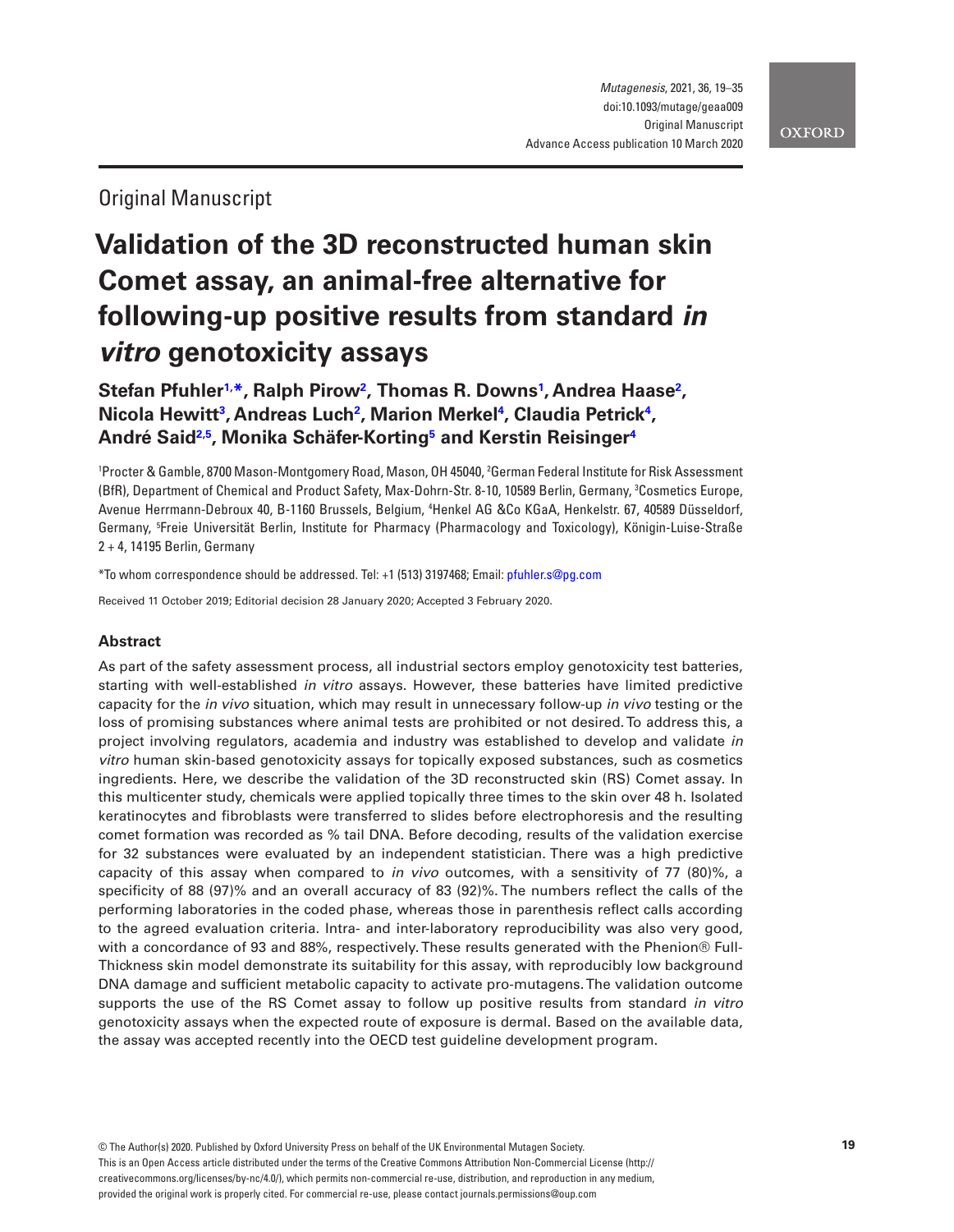## Original Manuscript

# **Validation of the 3D reconstructed human skin Comet assay, an animal-free alternative for following-up positive results from standard** *in vitro* **genotoxicity assays**

**Stefan Pfuhler[1,](#page-0-0) [\\*](#page-0-1), Ralph Piro[w2](#page-0-2) , Thomas R. Down[s1](#page-0-0) , Andrea Haase[2](#page-0-2) , Nicola Hewitt[3](#page-0-3) , Andreas Luch[2](#page-0-2) , Marion Merkel[4](#page-0-4) , Claudia Petric[k4](#page-0-4) , André Sai[d2](#page-0-2),[5](#page-0-5) , Monika Schäfer-Korting[5](#page-0-5) and Kerstin Reisinger[4](#page-0-4)**

<span id="page-0-4"></span><span id="page-0-3"></span><span id="page-0-2"></span><span id="page-0-0"></span>1 Procter & Gamble, 8700 Mason-Montgomery Road, Mason, OH 45040, 2 German Federal Institute for Risk Assessment (BfR), Department of Chemical and Product Safety, Max-Dohrn-Str. 8-10, 10589 Berlin, Germany, 3 Cosmetics Europe, Avenue Herrmann-Debroux 40, B-1160 Brussels, Belgium, <sup>4</sup>Henkel AG &Co KGaA, Henkelstr. 67, 40589 Düsseldorf, Germany, 5 Freie Universität Berlin, Institute for Pharmacy (Pharmacology and Toxicology), Königin-Luise-Straße 2 + 4, 14195 Berlin, Germany

<span id="page-0-5"></span><span id="page-0-1"></span>\*To whom correspondence should be addressed. Tel: +1 (513) 3197468; Email: [pfuhler.s@pg.com](mailto:pfuhler.s@pg.com?subject=)

Received 11 October 2019; Editorial decision 28 January 2020; Accepted 3 February 2020.

### **Abstract**

As part of the safety assessment process, all industrial sectors employ genotoxicity test batteries, starting with well-established *in vitro* assays. However, these batteries have limited predictive capacity for the *in vivo* situation, which may result in unnecessary follow-up *in vivo* testing or the loss of promising substances where animal tests are prohibited or not desired. To address this, a project involving regulators, academia and industry was established to develop and validate *in vitro* human skin-based genotoxicity assays for topically exposed substances, such as cosmetics ingredients. Here, we describe the validation of the 3D reconstructed skin (RS) Comet assay. In this multicenter study, chemicals were applied topically three times to the skin over 48 h. Isolated keratinocytes and fibroblasts were transferred to slides before electrophoresis and the resulting comet formation was recorded as % tail DNA. Before decoding, results of the validation exercise for 32 substances were evaluated by an independent statistician. There was a high predictive capacity of this assay when compared to *in vivo* outcomes, with a sensitivity of 77 (80)%, a specificity of 88 (97)% and an overall accuracy of 83 (92)%. The numbers reflect the calls of the performing laboratories in the coded phase, whereas those in parenthesis reflect calls according to the agreed evaluation criteria. Intra- and inter-laboratory reproducibility was also very good, with a concordance of 93 and 88%, respectively. These results generated with the Phenion® Full-Thickness skin model demonstrate its suitability for this assay, with reproducibly low background DNA damage and sufficient metabolic capacity to activate pro-mutagens. The validation outcome supports the use of the RS Comet assay to follow up positive results from standard *in vitro* genotoxicity assays when the expected route of exposure is dermal. Based on the available data, the assay was accepted recently into the OECD test guideline development program.

This is an Open Access article distributed under the terms of the Creative Commons Attribution Non-Commercial License (http:// creativecommons.org/licenses/by-nc/4.0/), which permits non-commercial re-use, distribution, and reproduction in any medium, provided the original work is properly cited. For commercial re-use, please contact journals.permissions@oup.com © The Author(s) 2020. Published by Oxford University Press on behalf of the UK Environmental Mutagen Society.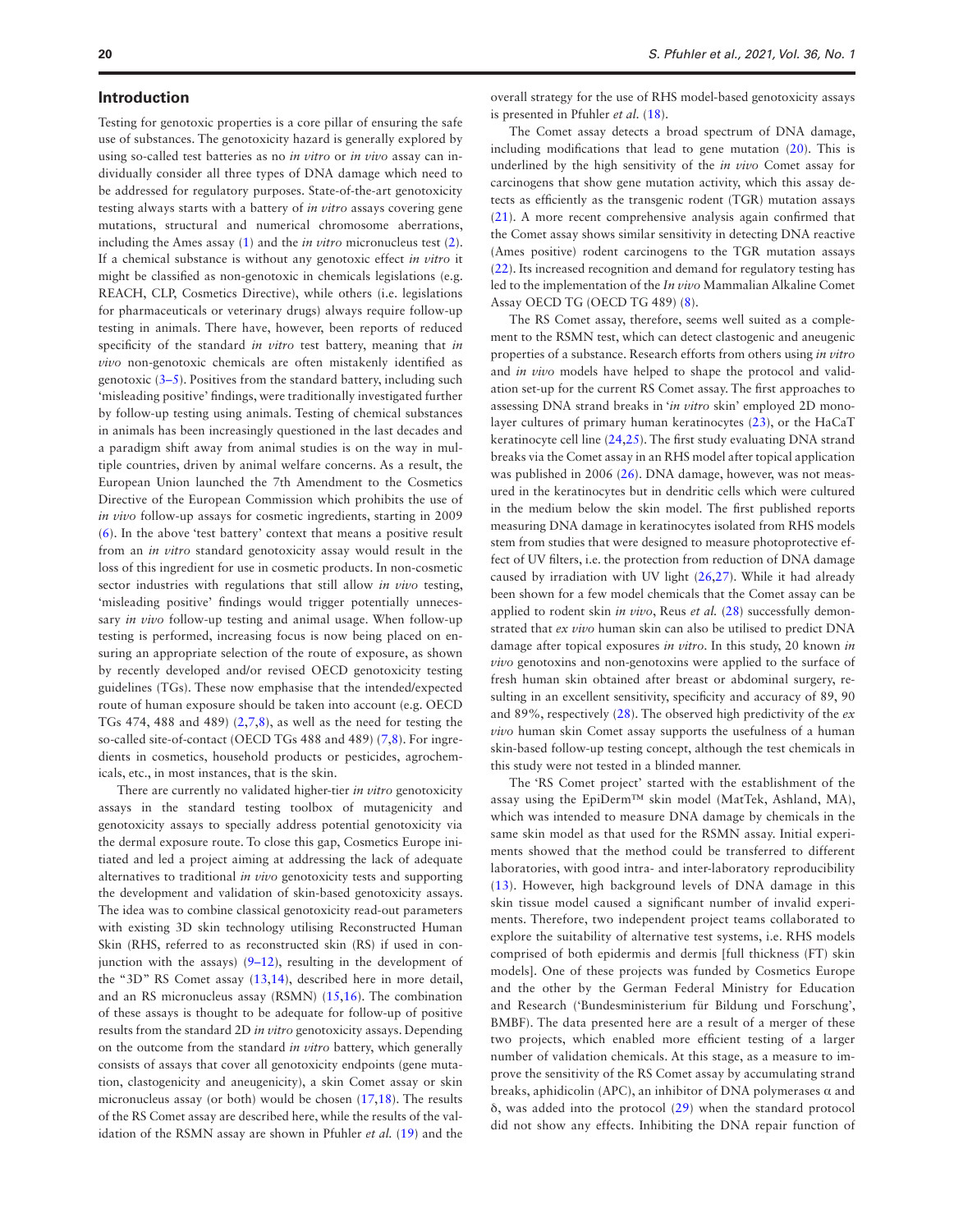#### **Introduction**

Testing for genotoxic properties is a core pillar of ensuring the safe use of substances. The genotoxicity hazard is generally explored by using so-called test batteries as no *in vitro* or *in vivo* assay can individually consider all three types of DNA damage which need to be addressed for regulatory purposes. State-of-the-art genotoxicity testing always starts with a battery of *in vitro* assays covering gene mutations, structural and numerical chromosome aberrations, including the Ames assay ([1](#page-13-0)) and the *in vitro* micronucleus test ([2\)](#page-13-1). If a chemical substance is without any genotoxic effect *in vitro* it might be classified as non-genotoxic in chemicals legislations (e.g. REACH, CLP, Cosmetics Directive), while others (i.e. legislations for pharmaceuticals or veterinary drugs) always require follow-up testing in animals. There have, however, been reports of reduced specificity of the standard *in vitro* test battery, meaning that *in vivo* non-genotoxic chemicals are often mistakenly identified as genotoxic [\(3–](#page-13-2)[5](#page-14-0)). Positives from the standard battery, including such 'misleading positive' findings, were traditionally investigated further by follow-up testing using animals. Testing of chemical substances in animals has been increasingly questioned in the last decades and a paradigm shift away from animal studies is on the way in multiple countries, driven by animal welfare concerns. As a result, the European Union launched the 7th Amendment to the Cosmetics Directive of the European Commission which prohibits the use of *in vivo* follow-up assays for cosmetic ingredients, starting in 2009 ([6](#page-14-1)). In the above 'test battery' context that means a positive result from an *in vitro* standard genotoxicity assay would result in the loss of this ingredient for use in cosmetic products. In non-cosmetic sector industries with regulations that still allow *in vivo* testing, 'misleading positive' findings would trigger potentially unnecessary *in vivo* follow-up testing and animal usage. When follow-up testing is performed, increasing focus is now being placed on ensuring an appropriate selection of the route of exposure, as shown by recently developed and/or revised OECD genotoxicity testing guidelines (TGs). These now emphasise that the intended/expected route of human exposure should be taken into account (e.g. OECD TGs 474, 488 and 489) ([2](#page-13-1)[,7,](#page-14-2)[8\)](#page-14-3), as well as the need for testing the so-called site-of-contact (OECD TGs 488 and 489) ([7](#page-14-2)[,8\)](#page-14-3). For ingredients in cosmetics, household products or pesticides, agrochemicals, etc., in most instances, that is the skin.

There are currently no validated higher-tier *in vitro* genotoxicity assays in the standard testing toolbox of mutagenicity and genotoxicity assays to specially address potential genotoxicity via the dermal exposure route. To close this gap, Cosmetics Europe initiated and led a project aiming at addressing the lack of adequate alternatives to traditional *in vivo* genotoxicity tests and supporting the development and validation of skin-based genotoxicity assays. The idea was to combine classical genotoxicity read-out parameters with existing 3D skin technology utilising Reconstructed Human Skin (RHS, referred to as reconstructed skin (RS) if used in conjunction with the assays)  $(9-12)$  $(9-12)$  $(9-12)$ , resulting in the development of the "3D" RS Comet assay ([13,](#page-14-6)[14\)](#page-14-7), described here in more detail, and an RS micronucleus assay (RSMN) ([15](#page-14-8),[16\)](#page-14-9). The combination of these assays is thought to be adequate for follow-up of positive results from the standard 2D *in vitro* genotoxicity assays. Depending on the outcome from the standard *in vitro* battery, which generally consists of assays that cover all genotoxicity endpoints (gene mutation, clastogenicity and aneugenicity), a skin Comet assay or skin micronucleus assay (or both) would be chosen ([17,](#page-14-10)[18\)](#page-14-11). The results of the RS Comet assay are described here, while the results of the validation of the RSMN assay are shown in Pfuhler *et al.* [\(19](#page-14-12)) and the

overall strategy for the use of RHS model-based genotoxicity assays is presented in Pfuhler *et al.* ([18\)](#page-14-11).

The Comet assay detects a broad spectrum of DNA damage, including modifications that lead to gene mutation [\(20](#page-14-13)). This is underlined by the high sensitivity of the *in vivo* Comet assay for carcinogens that show gene mutation activity, which this assay detects as efficiently as the transgenic rodent (TGR) mutation assays ([21\)](#page-14-14). A more recent comprehensive analysis again confirmed that the Comet assay shows similar sensitivity in detecting DNA reactive (Ames positive) rodent carcinogens to the TGR mutation assays ([22\)](#page-14-15). Its increased recognition and demand for regulatory testing has led to the implementation of the *In vivo* Mammalian Alkaline Comet Assay OECD TG (OECD TG 489) [\(8\)](#page-14-3).

The RS Comet assay, therefore, seems well suited as a complement to the RSMN test, which can detect clastogenic and aneugenic properties of a substance. Research efforts from others using *in vitro* and *in vivo* models have helped to shape the protocol and validation set-up for the current RS Comet assay. The first approaches to assessing DNA strand breaks in '*in vitro* skin' employed 2D monolayer cultures of primary human keratinocytes [\(23](#page-14-16)), or the HaCaT keratinocyte cell line ([24,](#page-14-17)[25\)](#page-14-18). The first study evaluating DNA strand breaks via the Comet assay in an RHS model after topical application was published in 2006 ([26\)](#page-14-19). DNA damage, however, was not measured in the keratinocytes but in dendritic cells which were cultured in the medium below the skin model. The first published reports measuring DNA damage in keratinocytes isolated from RHS models stem from studies that were designed to measure photoprotective effect of UV filters, i.e. the protection from reduction of DNA damage caused by irradiation with UV light [\(26](#page-14-19)[,27](#page-14-20)). While it had already been shown for a few model chemicals that the Comet assay can be applied to rodent skin *in vivo*, Reus *et al.* ([28\)](#page-14-21) successfully demonstrated that *ex vivo* human skin can also be utilised to predict DNA damage after topical exposures *in vitro*. In this study, 20 known *in vivo* genotoxins and non-genotoxins were applied to the surface of fresh human skin obtained after breast or abdominal surgery, resulting in an excellent sensitivity, specificity and accuracy of 89, 90 and 89%, respectively [\(28](#page-14-21)). The observed high predictivity of the *ex vivo* human skin Comet assay supports the usefulness of a human skin-based follow-up testing concept, although the test chemicals in this study were not tested in a blinded manner.

The 'RS Comet project' started with the establishment of the assay using the EpiDerm™ skin model (MatTek, Ashland, MA), which was intended to measure DNA damage by chemicals in the same skin model as that used for the RSMN assay. Initial experiments showed that the method could be transferred to different laboratories, with good intra- and inter-laboratory reproducibility ([13\)](#page-14-6). However, high background levels of DNA damage in this skin tissue model caused a significant number of invalid experiments. Therefore, two independent project teams collaborated to explore the suitability of alternative test systems, i.e. RHS models comprised of both epidermis and dermis [full thickness (FT) skin models]. One of these projects was funded by Cosmetics Europe and the other by the German Federal Ministry for Education and Research ('Bundesministerium für Bildung und Forschung', BMBF). The data presented here are a result of a merger of these two projects, which enabled more efficient testing of a larger number of validation chemicals. At this stage, as a measure to improve the sensitivity of the RS Comet assay by accumulating strand breaks, aphidicolin (APC), an inhibitor of DNA polymerases α and δ, was added into the protocol ([29\)](#page-14-22) when the standard protocol did not show any effects. Inhibiting the DNA repair function of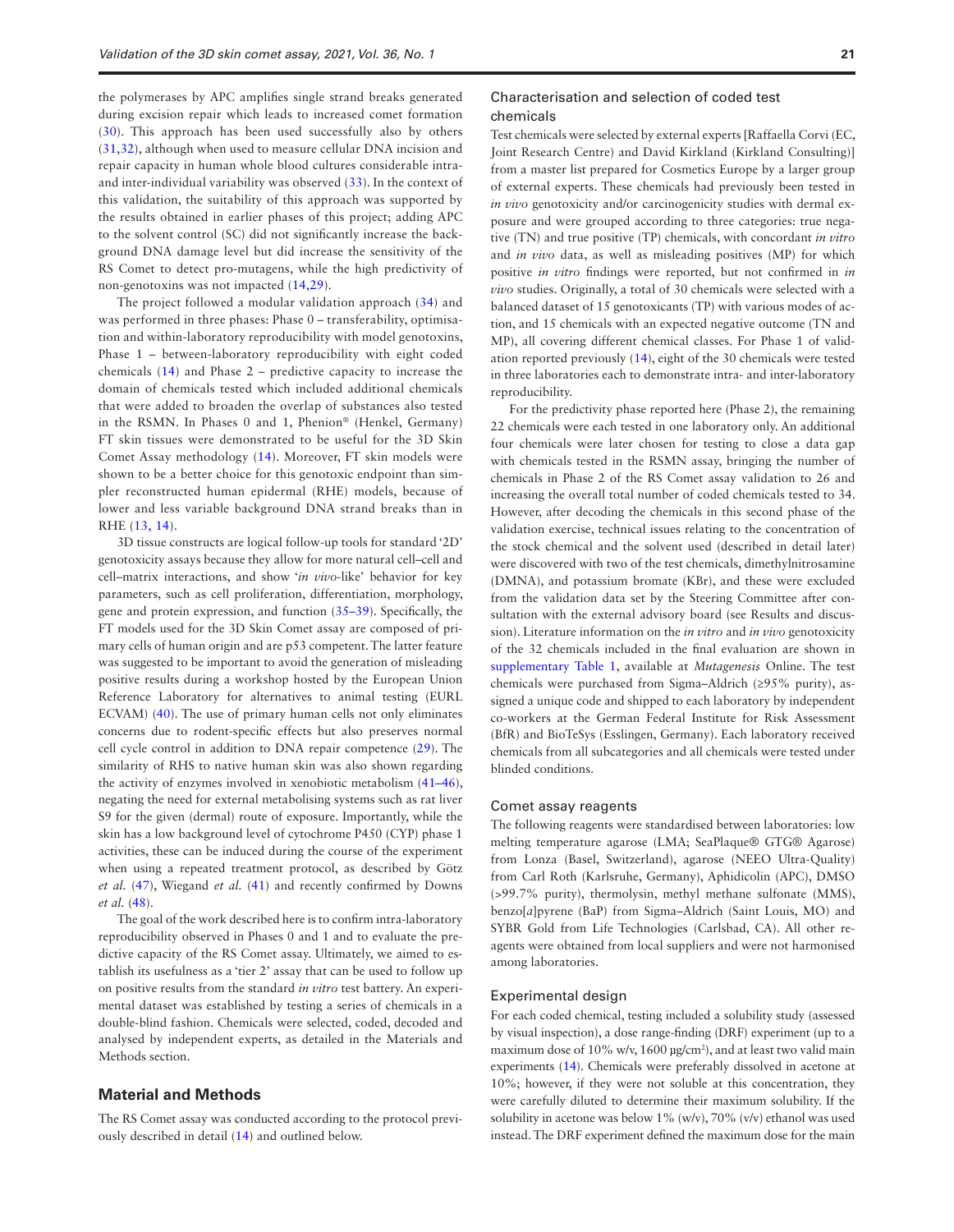the polymerases by APC amplifies single strand breaks generated during excision repair which leads to increased comet formation ([30\)](#page-14-23). This approach has been used successfully also by others ([31](#page-14-24)[,32](#page-14-25)), although when used to measure cellular DNA incision and repair capacity in human whole blood cultures considerable intraand inter-individual variability was observed ([33\)](#page-14-26). In the context of this validation, the suitability of this approach was supported by the results obtained in earlier phases of this project; adding APC to the solvent control (SC) did not significantly increase the background DNA damage level but did increase the sensitivity of the RS Comet to detect pro-mutagens, while the high predictivity of non-genotoxins was not impacted ([14,](#page-14-7)[29\)](#page-14-22).

The project followed a modular validation approach [\(34\)](#page-14-27) and was performed in three phases: Phase 0 – transferability, optimisation and within-laboratory reproducibility with model genotoxins, Phase 1 - between-laboratory reproducibility with eight coded chemicals [\(14\)](#page-14-7) and Phase 2 – predictive capacity to increase the domain of chemicals tested which included additional chemicals that were added to broaden the overlap of substances also tested in the RSMN. In Phases 0 and 1, Phenion® (Henkel, Germany) FT skin tissues were demonstrated to be useful for the 3D Skin Comet Assay methodology [\(14\)](#page-14-7). Moreover, FT skin models were shown to be a better choice for this genotoxic endpoint than simpler reconstructed human epidermal (RHE) models, because of lower and less variable background DNA strand breaks than in RHE ([13, 14\)](#page-14-6).

3D tissue constructs are logical follow-up tools for standard '2D' genotoxicity assays because they allow for more natural cell–cell and cell–matrix interactions, and show '*in vivo*-like' behavior for key parameters, such as cell proliferation, differentiation, morphology, gene and protein expression, and function [\(35](#page-14-28)[–39](#page-14-29)). Specifically, the FT models used for the 3D Skin Comet assay are composed of primary cells of human origin and are p53 competent. The latter feature was suggested to be important to avoid the generation of misleading positive results during a workshop hosted by the European Union Reference Laboratory for alternatives to animal testing (EURL ECVAM) ([40](#page-14-30)). The use of primary human cells not only eliminates concerns due to rodent-specific effects but also preserves normal cell cycle control in addition to DNA repair competence ([29\)](#page-14-22). The similarity of RHS to native human skin was also shown regarding the activity of enzymes involved in xenobiotic metabolism ([41–](#page-15-0)[46\)](#page-15-1), negating the need for external metabolising systems such as rat liver S9 for the given (dermal) route of exposure. Importantly, while the skin has a low background level of cytochrome P450 (CYP) phase 1 activities, these can be induced during the course of the experiment when using a repeated treatment protocol, as described by Götz *et al.* [\(47](#page-15-2)), Wiegand *et al.* [\(41](#page-15-0)) and recently confirmed by Downs *et al.* ([48\)](#page-15-3).

The goal of the work described here is to confirm intra-laboratory reproducibility observed in Phases 0 and 1 and to evaluate the predictive capacity of the RS Comet assay. Ultimately, we aimed to establish its usefulness as a 'tier 2' assay that can be used to follow up on positive results from the standard *in vitro* test battery. An experimental dataset was established by testing a series of chemicals in a double-blind fashion. Chemicals were selected, coded, decoded and analysed by independent experts, as detailed in the Materials and Methods section.

#### **Material and Methods**

The RS Comet assay was conducted according to the protocol previously described in detail [\(14](#page-14-7)) and outlined below.

#### Characterisation and selection of coded test chemicals

Test chemicals were selected by external experts [Raffaella Corvi (EC, Joint Research Centre) and David Kirkland (Kirkland Consulting)] from a master list prepared for Cosmetics Europe by a larger group of external experts. These chemicals had previously been tested in *in vivo* genotoxicity and/or carcinogenicity studies with dermal exposure and were grouped according to three categories: true negative (TN) and true positive (TP) chemicals, with concordant *in vitro* and *in vivo* data, as well as misleading positives (MP) for which positive *in vitro* findings were reported, but not confirmed in *in vivo* studies. Originally, a total of 30 chemicals were selected with a balanced dataset of 15 genotoxicants (TP) with various modes of action, and 15 chemicals with an expected negative outcome (TN and MP), all covering different chemical classes. For Phase 1 of validation reported previously [\(14\)](#page-14-7), eight of the 30 chemicals were tested in three laboratories each to demonstrate intra- and inter-laboratory reproducibility.

For the predictivity phase reported here (Phase 2), the remaining 22 chemicals were each tested in one laboratory only. An additional four chemicals were later chosen for testing to close a data gap with chemicals tested in the RSMN assay, bringing the number of chemicals in Phase 2 of the RS Comet assay validation to 26 and increasing the overall total number of coded chemicals tested to 34. However, after decoding the chemicals in this second phase of the validation exercise, technical issues relating to the concentration of the stock chemical and the solvent used (described in detail later) were discovered with two of the test chemicals, dimethylnitrosamine (DMNA), and potassium bromate (KBr), and these were excluded from the validation data set by the Steering Committee after consultation with the external advisory board (see Results and discussion). Literature information on the *in vitro* and *in vivo* genotoxicity of the 32 chemicals included in the final evaluation are shown in [supplementary Table 1,](http://academic.oup.com/mutage/article-lookup/doi/10.1093/mutage/geaa009#supplementary-data) available at *Mutagenesis* Online. The test chemicals were purchased from Sigma–Aldrich (≥95% purity), assigned a unique code and shipped to each laboratory by independent co-workers at the German Federal Institute for Risk Assessment (BfR) and BioTeSys (Esslingen, Germany). Each laboratory received chemicals from all subcategories and all chemicals were tested under blinded conditions.

#### Comet assay reagents

The following reagents were standardised between laboratories: low melting temperature agarose (LMA; SeaPlaque® GTG® Agarose) from Lonza (Basel, Switzerland), agarose (NEEO Ultra-Quality) from Carl Roth (Karlsruhe, Germany), Aphidicolin (APC), DMSO (>99.7% purity), thermolysin, methyl methane sulfonate (MMS), benzo[*a*]pyrene (BaP) from Sigma–Aldrich (Saint Louis, MO) and SYBR Gold from Life Technologies (Carlsbad, CA). All other reagents were obtained from local suppliers and were not harmonised among laboratories.

#### Experimental design

For each coded chemical, testing included a solubility study (assessed by visual inspection), a dose range-finding (DRF) experiment (up to a maximum dose of 10% w/v, 1600 µg/cm<sup>2</sup>), and at least two valid main experiments [\(14](#page-14-7)). Chemicals were preferably dissolved in acetone at 10%; however, if they were not soluble at this concentration, they were carefully diluted to determine their maximum solubility. If the solubility in acetone was below 1% (w/v), 70% (v/v) ethanol was used instead. The DRF experiment defined the maximum dose for the main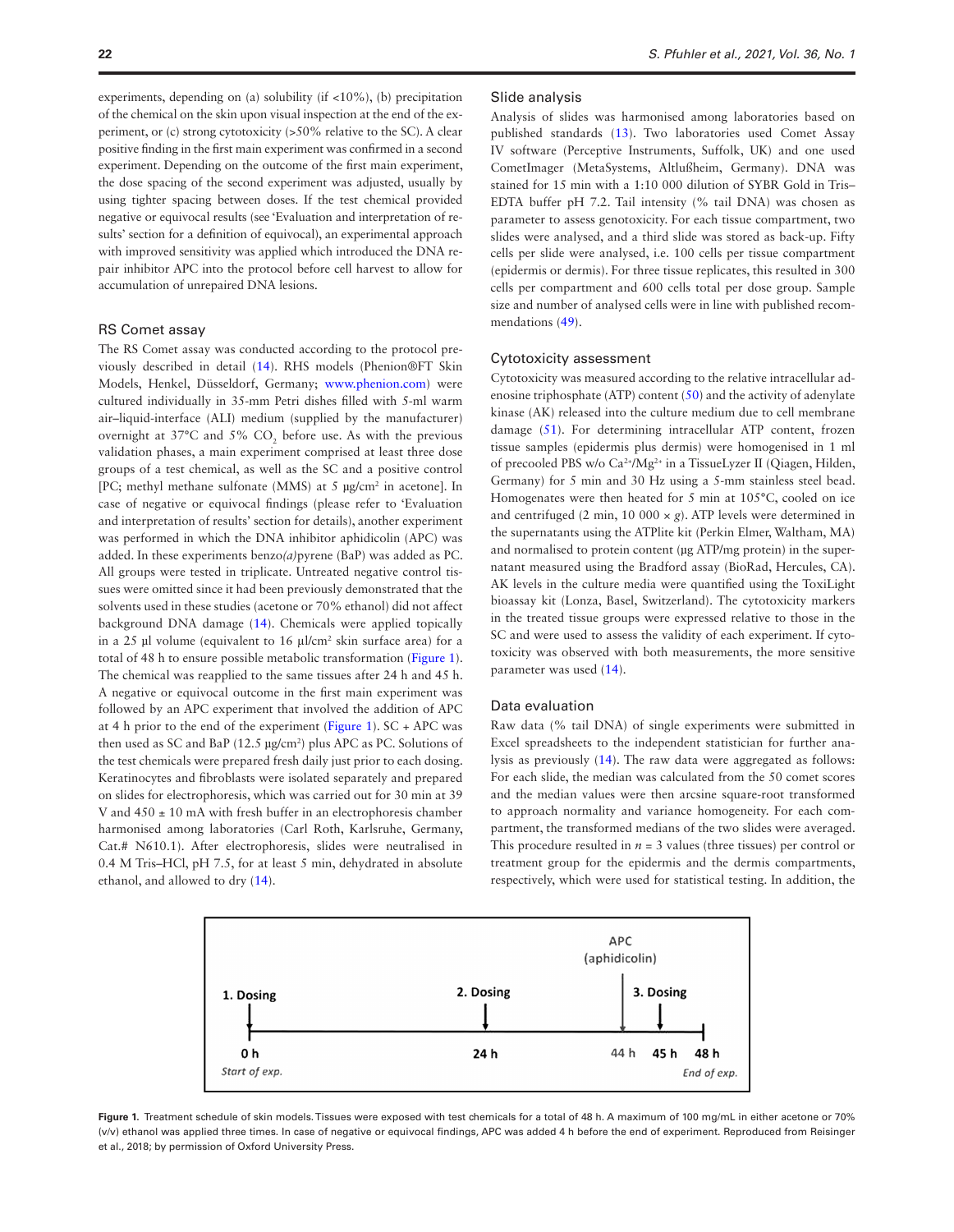experiments, depending on (a) solubility (if <10%), (b) precipitation of the chemical on the skin upon visual inspection at the end of the experiment, or (c) strong cytotoxicity (>50% relative to the SC). A clear positive finding in the first main experiment was confirmed in a second experiment. Depending on the outcome of the first main experiment, the dose spacing of the second experiment was adjusted, usually by using tighter spacing between doses. If the test chemical provided negative or equivocal results (see 'Evaluation and interpretation of results' section for a definition of equivocal), an experimental approach with improved sensitivity was applied which introduced the DNA repair inhibitor APC into the protocol before cell harvest to allow for accumulation of unrepaired DNA lesions.

#### RS Comet assay

The RS Comet assay was conducted according to the protocol previously described in detail ([14\)](#page-14-7). RHS models (Phenion®FT Skin Models, Henkel, Düsseldorf, Germany; [www.phenion.com\)](http://www.phenion.com) were cultured individually in 35-mm Petri dishes filled with 5-ml warm air–liquid-interface (ALI) medium (supplied by the manufacturer) overnight at 37°C and 5%  $CO_2$  before use. As with the previous validation phases, a main experiment comprised at least three dose groups of a test chemical, as well as the SC and a positive control [PC; methyl methane sulfonate (MMS) at 5 µg/cm2 in acetone]. In case of negative or equivocal findings (please refer to 'Evaluation and interpretation of results' section for details), another experiment was performed in which the DNA inhibitor aphidicolin (APC) was added. In these experiments benzo*(a)*pyrene (BaP) was added as PC. All groups were tested in triplicate. Untreated negative control tissues were omitted since it had been previously demonstrated that the solvents used in these studies (acetone or 70% ethanol) did not affect background DNA damage ([14\)](#page-14-7). Chemicals were applied topically in a 25 μl volume (equivalent to 16 μl/cm<sup>2</sup> skin surface area) for a total of 48 h to ensure possible metabolic transformation [\(Figure 1\)](#page-3-0). The chemical was reapplied to the same tissues after 24 h and 45 h. A negative or equivocal outcome in the first main experiment was followed by an APC experiment that involved the addition of APC at 4 h prior to the end of the experiment [\(Figure 1](#page-3-0)).  $SC + APC$  was then used as SC and BaP (12.5 µg/cm2 ) plus APC as PC. Solutions of the test chemicals were prepared fresh daily just prior to each dosing. Keratinocytes and fibroblasts were isolated separately and prepared on slides for electrophoresis, which was carried out for 30 min at 39 V and  $450 \pm 10$  mA with fresh buffer in an electrophoresis chamber harmonised among laboratories (Carl Roth, Karlsruhe, Germany, Cat.# N610.1). After electrophoresis, slides were neutralised in 0.4 M Tris–HCl, pH 7.5, for at least 5 min, dehydrated in absolute ethanol, and allowed to dry [\(14](#page-14-7)).

#### Slide analysis

Analysis of slides was harmonised among laboratories based on published standards ([13\)](#page-14-6). Two laboratories used Comet Assay IV software (Perceptive Instruments, Suffolk, UK) and one used CometImager (MetaSystems, Altlußheim, Germany). DNA was stained for 15 min with a 1:10 000 dilution of SYBR Gold in Tris– EDTA buffer pH 7.2. Tail intensity (% tail DNA) was chosen as parameter to assess genotoxicity. For each tissue compartment, two slides were analysed, and a third slide was stored as back-up. Fifty cells per slide were analysed, i.e. 100 cells per tissue compartment (epidermis or dermis). For three tissue replicates, this resulted in 300 cells per compartment and 600 cells total per dose group. Sample size and number of analysed cells were in line with published recom-mendations [\(49\)](#page-15-4).

#### Cytotoxicity assessment

Cytotoxicity was measured according to the relative intracellular adenosine triphosphate (ATP) content  $(50)$  and the activity of adenylate kinase (AK) released into the culture medium due to cell membrane damage [\(51\)](#page-15-6). For determining intracellular ATP content, frozen tissue samples (epidermis plus dermis) were homogenised in 1 ml of precooled PBS w/o Ca2+/Mg2+ in a TissueLyzer II (Qiagen, Hilden, Germany) for 5 min and 30 Hz using a 5-mm stainless steel bead. Homogenates were then heated for 5 min at 105°C, cooled on ice and centrifuged (2 min, 10 000 × *g*). ATP levels were determined in the supernatants using the ATPlite kit (Perkin Elmer, Waltham, MA) and normalised to protein content (µg ATP/mg protein) in the supernatant measured using the Bradford assay (BioRad, Hercules, CA). AK levels in the culture media were quantified using the ToxiLight bioassay kit (Lonza, Basel, Switzerland). The cytotoxicity markers in the treated tissue groups were expressed relative to those in the SC and were used to assess the validity of each experiment. If cytotoxicity was observed with both measurements, the more sensitive parameter was used [\(14](#page-14-7)).

#### Data evaluation

Raw data (% tail DNA) of single experiments were submitted in Excel spreadsheets to the independent statistician for further analysis as previously [\(14](#page-14-7)). The raw data were aggregated as follows: For each slide, the median was calculated from the 50 comet scores and the median values were then arcsine square-root transformed to approach normality and variance homogeneity. For each compartment, the transformed medians of the two slides were averaged. This procedure resulted in  $n = 3$  values (three tissues) per control or treatment group for the epidermis and the dermis compartments, respectively, which were used for statistical testing. In addition, the

<span id="page-3-0"></span>

Figure 1. Treatment schedule of skin models. Tissues were exposed with test chemicals for a total of 48 h. A maximum of 100 mg/mL in either acetone or 70% (v/v) ethanol was applied three times. In case of negative or equivocal findings, APC was added 4 h before the end of experiment. Reproduced from Reisinger et al., 2018; by permission of Oxford University Press.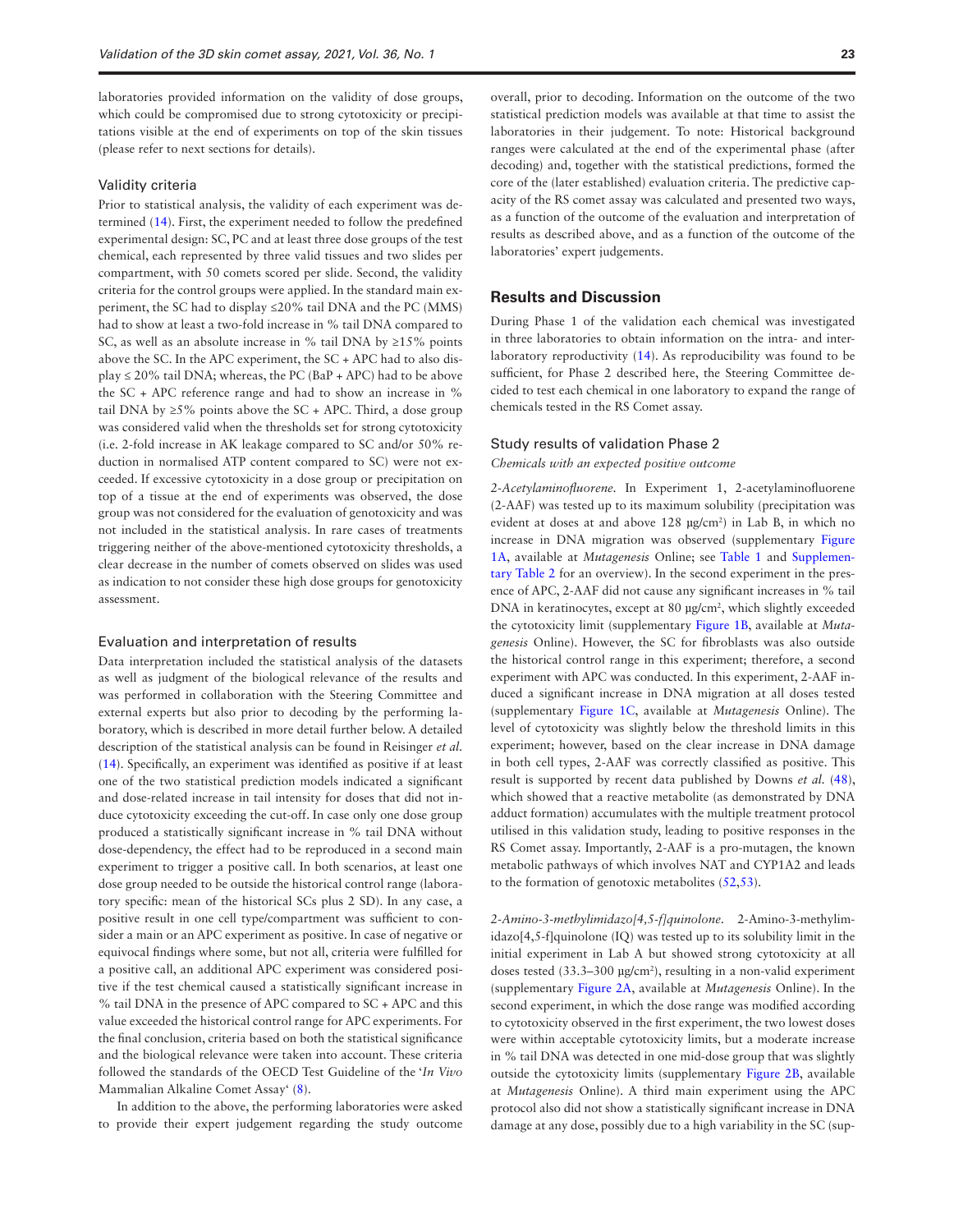laboratories provided information on the validity of dose groups, which could be compromised due to strong cytotoxicity or precipitations visible at the end of experiments on top of the skin tissues (please refer to next sections for details).

#### Validity criteria

Prior to statistical analysis, the validity of each experiment was determined ([14\)](#page-14-7). First, the experiment needed to follow the predefined experimental design: SC, PC and at least three dose groups of the test chemical, each represented by three valid tissues and two slides per compartment, with 50 comets scored per slide. Second, the validity criteria for the control groups were applied. In the standard main experiment, the SC had to display ≤20% tail DNA and the PC (MMS) had to show at least a two-fold increase in % tail DNA compared to SC, as well as an absolute increase in % tail DNA by ≥15% points above the SC. In the APC experiment, the SC + APC had to also dis $play \leq 20\%$  tail DNA; whereas, the PC (BaP + APC) had to be above the SC + APC reference range and had to show an increase in % tail DNA by  $\geq$ 5% points above the SC + APC. Third, a dose group was considered valid when the thresholds set for strong cytotoxicity (i.e. 2-fold increase in AK leakage compared to SC and/or 50% reduction in normalised ATP content compared to SC) were not exceeded. If excessive cytotoxicity in a dose group or precipitation on top of a tissue at the end of experiments was observed, the dose group was not considered for the evaluation of genotoxicity and was not included in the statistical analysis. In rare cases of treatments triggering neither of the above-mentioned cytotoxicity thresholds, a clear decrease in the number of comets observed on slides was used as indication to not consider these high dose groups for genotoxicity assessment.

#### Evaluation and interpretation of results

Data interpretation included the statistical analysis of the datasets as well as judgment of the biological relevance of the results and was performed in collaboration with the Steering Committee and external experts but also prior to decoding by the performing laboratory, which is described in more detail further below. A detailed description of the statistical analysis can be found in Reisinger *et al.* ([14\)](#page-14-7). Specifically, an experiment was identified as positive if at least one of the two statistical prediction models indicated a significant and dose-related increase in tail intensity for doses that did not induce cytotoxicity exceeding the cut-off. In case only one dose group produced a statistically significant increase in % tail DNA without dose-dependency, the effect had to be reproduced in a second main experiment to trigger a positive call. In both scenarios, at least one dose group needed to be outside the historical control range (laboratory specific: mean of the historical SCs plus 2 SD). In any case, a positive result in one cell type/compartment was sufficient to consider a main or an APC experiment as positive. In case of negative or equivocal findings where some, but not all, criteria were fulfilled for a positive call, an additional APC experiment was considered positive if the test chemical caused a statistically significant increase in % tail DNA in the presence of APC compared to SC + APC and this value exceeded the historical control range for APC experiments. For the final conclusion, criteria based on both the statistical significance and the biological relevance were taken into account. These criteria followed the standards of the OECD Test Guideline of the '*In Vivo* Mammalian Alkaline Comet Assay' ([8\)](#page-14-3).

In addition to the above, the performing laboratories were asked to provide their expert judgement regarding the study outcome

overall, prior to decoding. Information on the outcome of the two statistical prediction models was available at that time to assist the laboratories in their judgement. To note: Historical background ranges were calculated at the end of the experimental phase (after decoding) and, together with the statistical predictions, formed the core of the (later established) evaluation criteria. The predictive capacity of the RS comet assay was calculated and presented two ways, as a function of the outcome of the evaluation and interpretation of results as described above, and as a function of the outcome of the laboratories' expert judgements.

#### **Results and Discussion**

During Phase 1 of the validation each chemical was investigated in three laboratories to obtain information on the intra- and interlaboratory reproductivity [\(14](#page-14-7)). As reproducibility was found to be sufficient, for Phase 2 described here, the Steering Committee decided to test each chemical in one laboratory to expand the range of chemicals tested in the RS Comet assay.

#### Study results of validation Phase 2

*Chemicals with an expected positive outcome*

*2-Acetylaminofluorene.* In Experiment 1, 2-acetylaminofluorene (2-AAF) was tested up to its maximum solubility (precipitation was evident at doses at and above 128 µg/cm<sup>2</sup>) in Lab B, in which no increase in DNA migration was observed (supplementary [Figure](http://academic.oup.com/mutage/article-lookup/doi/10.1093/mutage/geaa009#supplementary-data) [1A](http://academic.oup.com/mutage/article-lookup/doi/10.1093/mutage/geaa009#supplementary-data), available at *Mutagenesis* Online; see [Table 1](#page-5-0) and [Supplemen](https://academic.oup.com/mutage/article-lookup/doi/10.1093/mutage/geaa009#supplementary-data)[tary Table 2](https://academic.oup.com/mutage/article-lookup/doi/10.1093/mutage/geaa009#supplementary-data) for an overview). In the second experiment in the presence of APC, 2-AAF did not cause any significant increases in % tail DNA in keratinocytes, except at 80 µg/cm<sup>2</sup>, which slightly exceeded the cytotoxicity limit (supplementary [Figure 1B,](http://academic.oup.com/mutage/article-lookup/doi/10.1093/mutage/geaa009#supplementary-data) available at *Mutagenesis* Online). However, the SC for fibroblasts was also outside the historical control range in this experiment; therefore, a second experiment with APC was conducted. In this experiment, 2-AAF induced a significant increase in DNA migration at all doses tested (supplementary [Figure 1C,](http://academic.oup.com/mutage/article-lookup/doi/10.1093/mutage/geaa009#supplementary-data) available at *Mutagenesis* Online). The level of cytotoxicity was slightly below the threshold limits in this experiment; however, based on the clear increase in DNA damage in both cell types, 2-AAF was correctly classified as positive. This result is supported by recent data published by Downs *et al.* ([48\)](#page-15-3), which showed that a reactive metabolite (as demonstrated by DNA adduct formation) accumulates with the multiple treatment protocol utilised in this validation study, leading to positive responses in the RS Comet assay. Importantly, 2-AAF is a pro-mutagen, the known metabolic pathways of which involves NAT and CYP1A2 and leads to the formation of genotoxic metabolites [\(52](#page-15-7)[,53](#page-15-8)).

*2-Amino-3-methylimidazo[4,5-f]quinolone.* 2-Amino-3-methylimidazo[4,5-f]quinolone (IQ) was tested up to its solubility limit in the initial experiment in Lab A but showed strong cytotoxicity at all doses tested (33.3–300 µg/cm2 ), resulting in a non-valid experiment (supplementary [Figure 2A,](http://academic.oup.com/mutage/article-lookup/doi/10.1093/mutage/geaa009#supplementary-data) available at *Mutagenesis* Online). In the second experiment, in which the dose range was modified according to cytotoxicity observed in the first experiment, the two lowest doses were within acceptable cytotoxicity limits, but a moderate increase in % tail DNA was detected in one mid-dose group that was slightly outside the cytotoxicity limits (supplementary [Figure 2B](http://academic.oup.com/mutage/article-lookup/doi/10.1093/mutage/geaa009#supplementary-data), available at *Mutagenesis* Online). A third main experiment using the APC protocol also did not show a statistically significant increase in DNA damage at any dose, possibly due to a high variability in the SC (sup-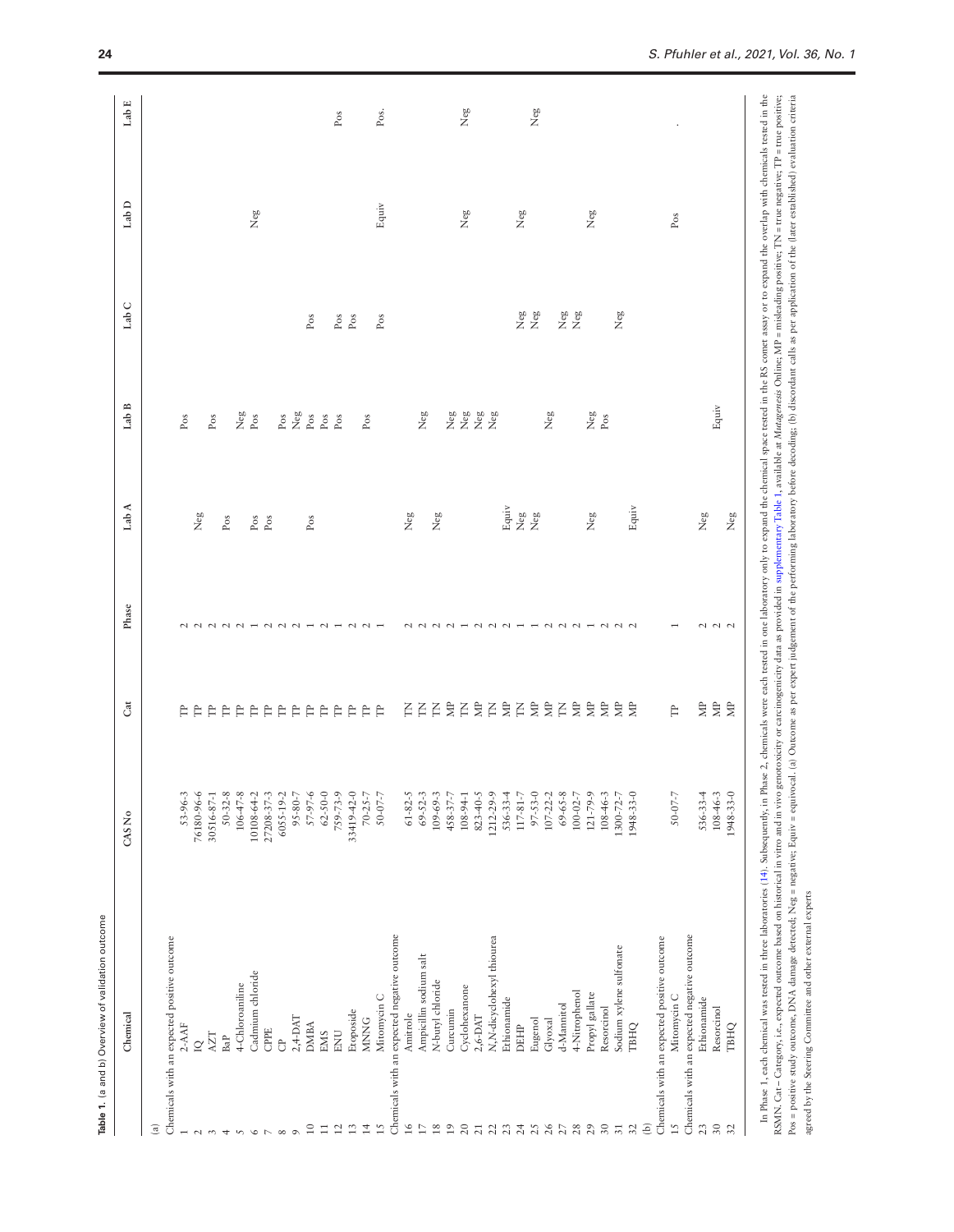<span id="page-5-0"></span>

|                 | Chemical                                    | CAS No         | Cat                                | Phase                                         | Lab A         | Lab B                                                                                                                                                                                                                                                                                                                                                                                                                                                          | $\circ$<br><b>d</b> | Lab ${\bf D}$ | Lab E        |
|-----------------|---------------------------------------------|----------------|------------------------------------|-----------------------------------------------|---------------|----------------------------------------------------------------------------------------------------------------------------------------------------------------------------------------------------------------------------------------------------------------------------------------------------------------------------------------------------------------------------------------------------------------------------------------------------------------|---------------------|---------------|--------------|
| $\widehat{a}$   |                                             |                |                                    |                                               |               |                                                                                                                                                                                                                                                                                                                                                                                                                                                                |                     |               |              |
|                 | Chemicals with an expected positive outcome |                |                                    |                                               |               |                                                                                                                                                                                                                                                                                                                                                                                                                                                                |                     |               |              |
|                 | $2-AAF$                                     | 53-96-3        |                                    |                                               |               | Pos                                                                                                                                                                                                                                                                                                                                                                                                                                                            |                     |               |              |
| $\sim$          | $\alpha$                                    | 76180-96-6     |                                    |                                               | Neg           |                                                                                                                                                                                                                                                                                                                                                                                                                                                                |                     |               |              |
| $\sim$          | <b>AZT</b>                                  | 30516-87-1     |                                    |                                               |               | $_{\rm Pos}$                                                                                                                                                                                                                                                                                                                                                                                                                                                   |                     |               |              |
| 4               | BaP                                         | $50 - 32 - 8$  |                                    |                                               | $_{\rm{Pos}}$ |                                                                                                                                                                                                                                                                                                                                                                                                                                                                |                     |               |              |
| $\sim$          | 4-Chloroaniline                             | $106 - 47 - 8$ |                                    |                                               |               | $_{\rm Pos}^{\rm Neg}$                                                                                                                                                                                                                                                                                                                                                                                                                                         |                     |               |              |
| ৩               | Cadmium chloride                            | 10108-64-2     |                                    |                                               | $_{\rm Pos}$  |                                                                                                                                                                                                                                                                                                                                                                                                                                                                |                     | Neg           |              |
|                 | CPPE                                        | 27208-37-3     |                                    |                                               | $P$ os        |                                                                                                                                                                                                                                                                                                                                                                                                                                                                |                     |               |              |
| $\infty$        | Ĝ                                           | 6055-19-2      |                                    |                                               |               |                                                                                                                                                                                                                                                                                                                                                                                                                                                                |                     |               |              |
| $\sigma$        | $2,4$ -DAT                                  | 95-80-7        |                                    |                                               |               |                                                                                                                                                                                                                                                                                                                                                                                                                                                                |                     |               |              |
| $\overline{10}$ | <b>DMBA</b>                                 | 57-97-6        | <b>A A A A A A A A A A A A A A</b> | 22222222<br>2222                              | $P$ os        | $\begin{array}{l} \mathbf{p} \\ \mathbf{p} \\ \mathbf{p} \\ \mathbf{p} \\ \mathbf{p} \\ \mathbf{p} \\ \mathbf{p} \\ \mathbf{p} \\ \mathbf{p} \\ \mathbf{p} \\ \mathbf{p} \\ \mathbf{p} \\ \mathbf{p} \\ \mathbf{p} \\ \mathbf{p} \\ \mathbf{p} \\ \mathbf{p} \\ \mathbf{p} \\ \mathbf{p} \\ \mathbf{p} \\ \mathbf{p} \\ \mathbf{p} \\ \mathbf{p} \\ \mathbf{p} \\ \mathbf{p} \\ \mathbf{p} \\ \mathbf{p} \\ \mathbf{p} \\ \mathbf{p} \\ \mathbf{p} \\ \mathbf$ | Pos                 |               |              |
| $\Xi$           | <b>EMS</b>                                  | $62 - 50 - 0$  |                                    | $\sim$ $-$                                    |               |                                                                                                                                                                                                                                                                                                                                                                                                                                                                |                     |               |              |
| $\overline{12}$ | ENU                                         | 759-73-9       |                                    |                                               |               |                                                                                                                                                                                                                                                                                                                                                                                                                                                                | $_{\rm Pos}$        |               | $_{\rm Pos}$ |
| 13              | Etoposide                                   | 33419-42-0     |                                    | $\sim$ $\sim$ $-$                             |               |                                                                                                                                                                                                                                                                                                                                                                                                                                                                | Pos                 |               |              |
| 14              | <b>MNNG</b>                                 | $70 - 25 - 7$  |                                    |                                               |               | $_{\rm Pos}$                                                                                                                                                                                                                                                                                                                                                                                                                                                   |                     |               |              |
| 15              | Mitomycin C                                 | $50 - 07 - 7$  |                                    |                                               |               |                                                                                                                                                                                                                                                                                                                                                                                                                                                                | Pos                 | Equiv         | Pos.         |
|                 | Chemicals with an expected negative outcome |                |                                    |                                               |               |                                                                                                                                                                                                                                                                                                                                                                                                                                                                |                     |               |              |
| $\frac{6}{2}$   | Amitrole                                    | $61 - 82 - 5$  |                                    |                                               | Neg           |                                                                                                                                                                                                                                                                                                                                                                                                                                                                |                     |               |              |
| $\overline{1}$  | Ampicillin sodium salt                      | $69 - 52 - 3$  |                                    |                                               |               | Neg                                                                                                                                                                                                                                                                                                                                                                                                                                                            |                     |               |              |
| $\frac{8}{18}$  | N-butyl chloride                            | $109 - 69 - 3$ |                                    |                                               | Neg           |                                                                                                                                                                                                                                                                                                                                                                                                                                                                |                     |               |              |
| $\overline{19}$ | Curcumin                                    | 458-37-7       |                                    |                                               |               |                                                                                                                                                                                                                                                                                                                                                                                                                                                                |                     |               |              |
| 20              | Cyclohexanone                               | 108-94-1       |                                    |                                               |               |                                                                                                                                                                                                                                                                                                                                                                                                                                                                |                     | Neg           | Neg          |
| 21              | 2,6-DAT                                     | 823-40-5       |                                    |                                               |               |                                                                                                                                                                                                                                                                                                                                                                                                                                                                |                     |               |              |
| 22              | N,N-dicyclohexyl thiourea                   | 1212-29-9      |                                    |                                               |               | $\mathop{\rm Reg}\limits_{\rm Z}$ $\mathop{\rm reg}\limits_{\rm Z}$ $\mathop{\rm reg}\limits_{\rm Z}$                                                                                                                                                                                                                                                                                                                                                          |                     |               |              |
| 23              | Ethionamide                                 | 536-33-4       |                                    |                                               | Equiv         |                                                                                                                                                                                                                                                                                                                                                                                                                                                                |                     |               |              |
| 24              | DEHP                                        | 117-81-7       |                                    | 2222224                                       |               |                                                                                                                                                                                                                                                                                                                                                                                                                                                                |                     | Neg           |              |
| 25              | Eugenol                                     | $97 - 53 - 0$  |                                    | $\overline{ }$                                | Neg<br>Neg    |                                                                                                                                                                                                                                                                                                                                                                                                                                                                | Neg<br>Neg          |               | Neg          |
| 26              | Glyoxal                                     | $107 - 22 - 2$ |                                    |                                               |               | Neg                                                                                                                                                                                                                                                                                                                                                                                                                                                            |                     |               |              |
|                 | d-Mannitol                                  | $69 - 65 - 8$  |                                    |                                               |               |                                                                                                                                                                                                                                                                                                                                                                                                                                                                |                     |               |              |
| $27$ 28         | 4-Nitrophenol                               | $100 - 02 - 7$ |                                    | $2222$                                        |               |                                                                                                                                                                                                                                                                                                                                                                                                                                                                | Neg<br>Neg          |               |              |
| 29              | Propyl gallate                              | 121-79-9       |                                    |                                               | Neg           |                                                                                                                                                                                                                                                                                                                                                                                                                                                                |                     | Neg           |              |
| $30\,$          | Resorcinol                                  | $108 - 6 - 3$  | E E E S E S E S E S S E S S S      | $\sim$                                        |               | Neg<br>Pos                                                                                                                                                                                                                                                                                                                                                                                                                                                     |                     |               |              |
| 31              | Sodium xylene sulfonate                     | 1300-72-7      |                                    | $\sim$ $\sim$                                 |               |                                                                                                                                                                                                                                                                                                                                                                                                                                                                | Neg                 |               |              |
| 32              | ТВНО                                        | 1948-33-0      | $\overline{\Xi}$                   |                                               | Equiv         |                                                                                                                                                                                                                                                                                                                                                                                                                                                                |                     |               |              |
| $\widehat{e}$   |                                             |                |                                    |                                               |               |                                                                                                                                                                                                                                                                                                                                                                                                                                                                |                     |               |              |
|                 | Chemicals with an expected positive outcome |                |                                    |                                               |               |                                                                                                                                                                                                                                                                                                                                                                                                                                                                |                     |               |              |
| 15              | Mitomycin C                                 | 50-07-7        | Ê                                  |                                               |               |                                                                                                                                                                                                                                                                                                                                                                                                                                                                |                     | $_{\rm Pos}$  |              |
|                 | Chemicals with an expected negative outcome |                |                                    |                                               |               |                                                                                                                                                                                                                                                                                                                                                                                                                                                                |                     |               |              |
| 23              | Ethionamide                                 | 536-33-4       |                                    |                                               | Neg           |                                                                                                                                                                                                                                                                                                                                                                                                                                                                |                     |               |              |
| $30\,$          | Resorcinol                                  | $108 - 6 - 3$  | <b>SEE</b>                         | $\begin{array}{c} 2 & 0 \\ 0 & 0 \end{array}$ |               | Equiv                                                                                                                                                                                                                                                                                                                                                                                                                                                          |                     |               |              |
| 32              | ТВНО                                        | 1948-33-0      |                                    |                                               | Neg           |                                                                                                                                                                                                                                                                                                                                                                                                                                                                |                     |               |              |

RSMN. Cat – Category, i.e., expected outcome based on historical in viro and in viro genocoicity or carcinogenicity data as provided in supplementary Table 1, available at Mutagenesis Online; MP = misleading positive; TD = RSMN-Category, i.e., expected outcome based on historical in vitro and in vivo genotoxicity or carcinogencity data as provided in [supplementary Table 1](http://academic.oup.com/mutage/article-lookup/doi/10.1093/mutage/geaa009#supplementary-data), available at Mutagenesis Online; MP = misleading positive; TP= erue p Pos- positive study outcome, DNA damage detected; Neg = negative; Equive = equivocal. (a) Outcome as per expert judgement of the performing laboratory before decoding; (b) discordant calls as per application of the (later agreed by the Steering Committee and other external experts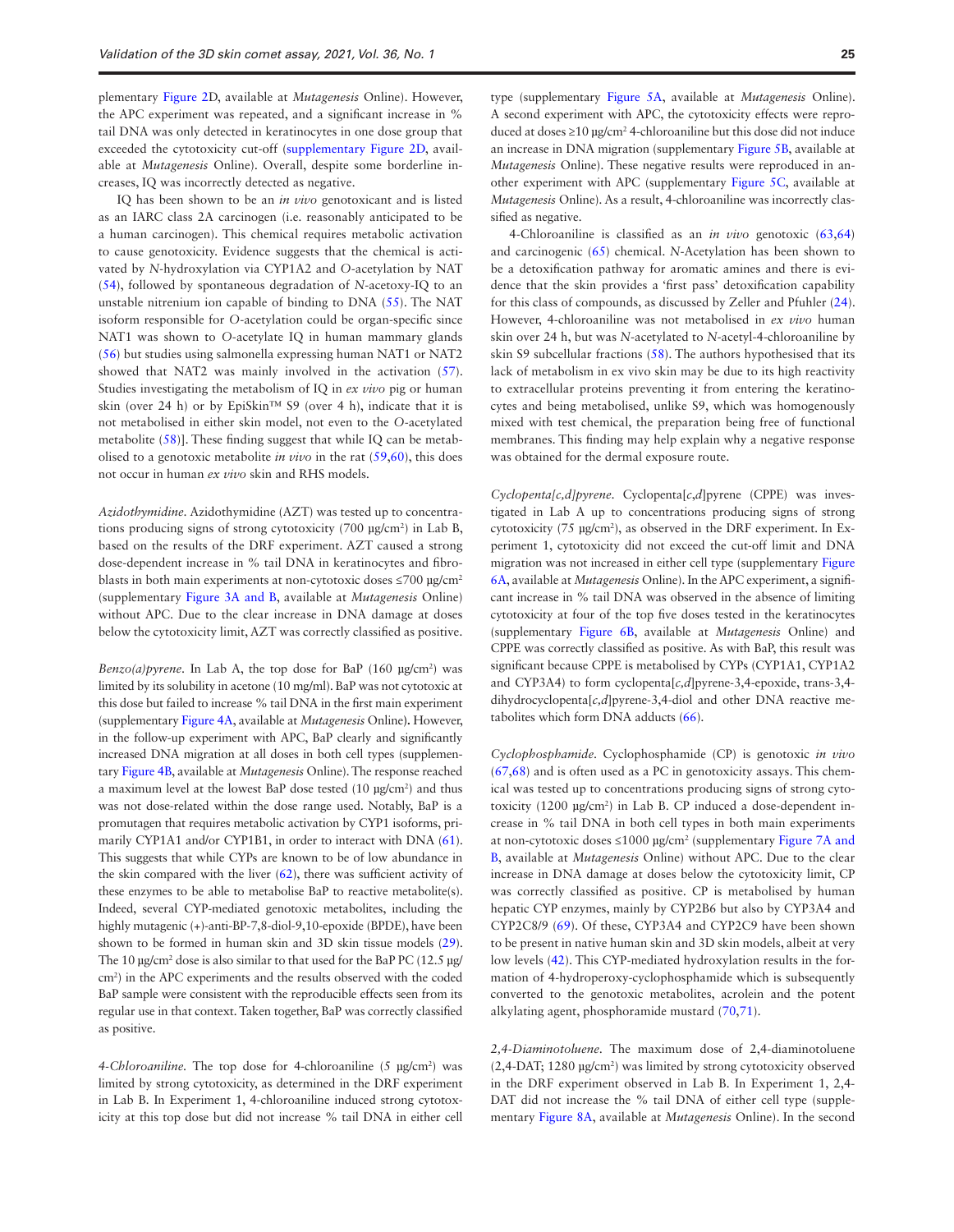plementary [Figure 2D](http://academic.oup.com/mutage/article-lookup/doi/10.1093/mutage/geaa009#supplementary-data), available at *Mutagenesis* Online). However, the APC experiment was repeated, and a significant increase in % tail DNA was only detected in keratinocytes in one dose group that exceeded the cytotoxicity cut-off [\(supplementary Figure 2D,](https://academic.oup.com/mutage/article-lookup/doi/10.1093/mutage/geaa009#supplementary-data) available at *Mutagenesis* Online). Overall, despite some borderline increases, IQ was incorrectly detected as negative.

IQ has been shown to be an *in vivo* genotoxicant and is listed as an IARC class 2A carcinogen (i.e. reasonably anticipated to be a human carcinogen). This chemical requires metabolic activation to cause genotoxicity. Evidence suggests that the chemical is activated by *N*-hydroxylation via CYP1A2 and *O*-acetylation by NAT ([54\)](#page-15-9), followed by spontaneous degradation of *N*-acetoxy-IQ to an unstable nitrenium ion capable of binding to DNA ([55\)](#page-15-10). The NAT isoform responsible for *O*-acetylation could be organ-specific since NAT1 was shown to *O*-acetylate IQ in human mammary glands ([56\)](#page-15-11) but studies using salmonella expressing human NAT1 or NAT2 showed that NAT2 was mainly involved in the activation ([57\)](#page-15-12). Studies investigating the metabolism of IQ in *ex vivo* pig or human skin (over 24 h) or by EpiSkin™ S9 (over 4 h), indicate that it is not metabolised in either skin model, not even to the *O*-acetylated metabolite ([58\)](#page-15-13)]. These finding suggest that while IQ can be metabolised to a genotoxic metabolite *in vivo* in the rat ([59,](#page-15-14)[60\)](#page-15-15), this does not occur in human *ex vivo* skin and RHS models.

*Azidothymidine.* Azidothymidine (AZT) was tested up to concentrations producing signs of strong cytotoxicity (700 µg/cm2 ) in Lab B, based on the results of the DRF experiment. AZT caused a strong dose-dependent increase in % tail DNA in keratinocytes and fibroblasts in both main experiments at non-cytotoxic doses ≤700 µg/cm2 (supplementary [Figure 3A and B,](http://academic.oup.com/mutage/article-lookup/doi/10.1093/mutage/geaa009#supplementary-data) available at *Mutagenesis* Online) without APC. Due to the clear increase in DNA damage at doses below the cytotoxicity limit, AZT was correctly classified as positive.

*Benzo(a)pyrene.* In Lab A, the top dose for BaP  $(160 \text{ µg/cm}^2)$  was limited by its solubility in acetone (10 mg/ml). BaP was not cytotoxic at this dose but failed to increase % tail DNA in the first main experiment (supplementary [Figure 4A,](http://academic.oup.com/mutage/article-lookup/doi/10.1093/mutage/geaa009#supplementary-data) available at *Mutagenesis* Online**).** However, in the follow-up experiment with APC, BaP clearly and significantly increased DNA migration at all doses in both cell types (supplementary [Figure 4B](http://academic.oup.com/mutage/article-lookup/doi/10.1093/mutage/geaa009#supplementary-data), available at *Mutagenesis* Online). The response reached a maximum level at the lowest BaP dose tested (10 µg/cm<sup>2</sup>) and thus was not dose-related within the dose range used. Notably, BaP is a promutagen that requires metabolic activation by CYP1 isoforms, primarily CYP1A1 and/or CYP1B1, in order to interact with DNA [\(61\)](#page-15-16). This suggests that while CYPs are known to be of low abundance in the skin compared with the liver  $(62)$  $(62)$ , there was sufficient activity of these enzymes to be able to metabolise BaP to reactive metabolite(s). Indeed, several CYP-mediated genotoxic metabolites, including the highly mutagenic (+)-anti-BP-7,8-diol-9,10-epoxide (BPDE), have been shown to be formed in human skin and 3D skin tissue models [\(29\)](#page-14-22). The 10 µg/cm<sup>2</sup> dose is also similar to that used for the BaP PC (12.5 µg/ cm2 ) in the APC experiments and the results observed with the coded BaP sample were consistent with the reproducible effects seen from its regular use in that context. Taken together, BaP was correctly classified as positive.

4-Chloroaniline. The top dose for 4-chloroaniline (5 µg/cm<sup>2</sup>) was limited by strong cytotoxicity, as determined in the DRF experiment in Lab B. In Experiment 1, 4-chloroaniline induced strong cytotoxicity at this top dose but did not increase % tail DNA in either cell

type (supplementary [Figure 5A](http://academic.oup.com/mutage/article-lookup/doi/10.1093/mutage/geaa009#supplementary-data), available at *Mutagenesis* Online). A second experiment with APC, the cytotoxicity effects were reproduced at doses ≥10  $\mu$ g/cm<sup>2</sup> 4-chloroaniline but this dose did not induce an increase in DNA migration (supplementary [Figure 5B](http://academic.oup.com/mutage/article-lookup/doi/10.1093/mutage/geaa009#supplementary-data), available at *Mutagenesis* Online). These negative results were reproduced in another experiment with APC (supplementary [Figure 5C](http://academic.oup.com/mutage/article-lookup/doi/10.1093/mutage/geaa009#supplementary-data), available at *Mutagenesis* Online). As a result, 4-chloroaniline was incorrectly classified as negative.

4-Chloroaniline is classified as an *in vivo* genotoxic [\(63](#page-15-18),[64](#page-15-19)) and carcinogenic [\(65](#page-15-20)) chemical. *N*-Acetylation has been shown to be a detoxification pathway for aromatic amines and there is evidence that the skin provides a 'first pass' detoxification capability for this class of compounds, as discussed by Zeller and Pfuhler ([24\)](#page-14-17). However, 4-chloroaniline was not metabolised in *ex vivo* human skin over 24 h, but was *N*-acetylated to *N*-acetyl-4-chloroaniline by skin S9 subcellular fractions ([58\)](#page-15-13). The authors hypothesised that its lack of metabolism in ex vivo skin may be due to its high reactivity to extracellular proteins preventing it from entering the keratinocytes and being metabolised, unlike S9, which was homogenously mixed with test chemical, the preparation being free of functional membranes. This finding may help explain why a negative response was obtained for the dermal exposure route.

*Cyclopenta[c,d]pyrene.* Cyclopenta[*c*,*d*]pyrene (CPPE) was investigated in Lab A up to concentrations producing signs of strong cytotoxicity (75 µg/cm<sup>2</sup>), as observed in the DRF experiment. In Experiment 1, cytotoxicity did not exceed the cut-off limit and DNA migration was not increased in either cell type (supplementary [Figure](http://academic.oup.com/mutage/article-lookup/doi/10.1093/mutage/geaa009#supplementary-data) [6A](http://academic.oup.com/mutage/article-lookup/doi/10.1093/mutage/geaa009#supplementary-data), available at *Mutagenesis* Online). In the APC experiment, a significant increase in % tail DNA was observed in the absence of limiting cytotoxicity at four of the top five doses tested in the keratinocytes (supplementary [Figure 6B](http://academic.oup.com/mutage/article-lookup/doi/10.1093/mutage/geaa009#supplementary-data), available at *Mutagenesis* Online) and CPPE was correctly classified as positive. As with BaP, this result was significant because CPPE is metabolised by CYPs (CYP1A1, CYP1A2 and CYP3A4) to form cyclopenta[c,d]pyrene-3,4-epoxide, trans-3,4dihydrocyclopenta[*c,d*]pyrene-3,4-diol and other DNA reactive metabolites which form DNA adducts ([66](#page-15-21)).

*Cyclophosphamide.* Cyclophosphamide (CP) is genotoxic *in vivo* ([67,](#page-15-22)[68\)](#page-15-23) and is often used as a PC in genotoxicity assays. This chemical was tested up to concentrations producing signs of strong cytotoxicity (1200 µg/cm2 ) in Lab B. CP induced a dose-dependent increase in % tail DNA in both cell types in both main experiments at non-cytotoxic doses  $\leq 1000$  µg/cm<sup>2</sup> (supplementary [Figure 7A and](http://academic.oup.com/mutage/article-lookup/doi/10.1093/mutage/geaa009#supplementary-data) [B](http://academic.oup.com/mutage/article-lookup/doi/10.1093/mutage/geaa009#supplementary-data), available at *Mutagenesis* Online) without APC. Due to the clear increase in DNA damage at doses below the cytotoxicity limit, CP was correctly classified as positive. CP is metabolised by human hepatic CYP enzymes, mainly by CYP2B6 but also by CYP3A4 and CYP2C8/9 ([69](#page-15-24)). Of these, CYP3A4 and CYP2C9 have been shown to be present in native human skin and 3D skin models, albeit at very low levels ([42\)](#page-15-25). This CYP-mediated hydroxylation results in the formation of 4-hydroperoxy-cyclophosphamide which is subsequently converted to the genotoxic metabolites, acrolein and the potent alkylating agent, phosphoramide mustard ([70,](#page-15-26)[71\)](#page-15-27).

*2,4-Diaminotoluene.* The maximum dose of 2,4-diaminotoluene (2,4-DAT; 1280 µg/cm2 ) was limited by strong cytotoxicity observed in the DRF experiment observed in Lab B. In Experiment 1, 2,4- DAT did not increase the % tail DNA of either cell type (supplementary [Figure 8A,](http://academic.oup.com/mutage/article-lookup/doi/10.1093/mutage/geaa009#supplementary-data) available at *Mutagenesis* Online). In the second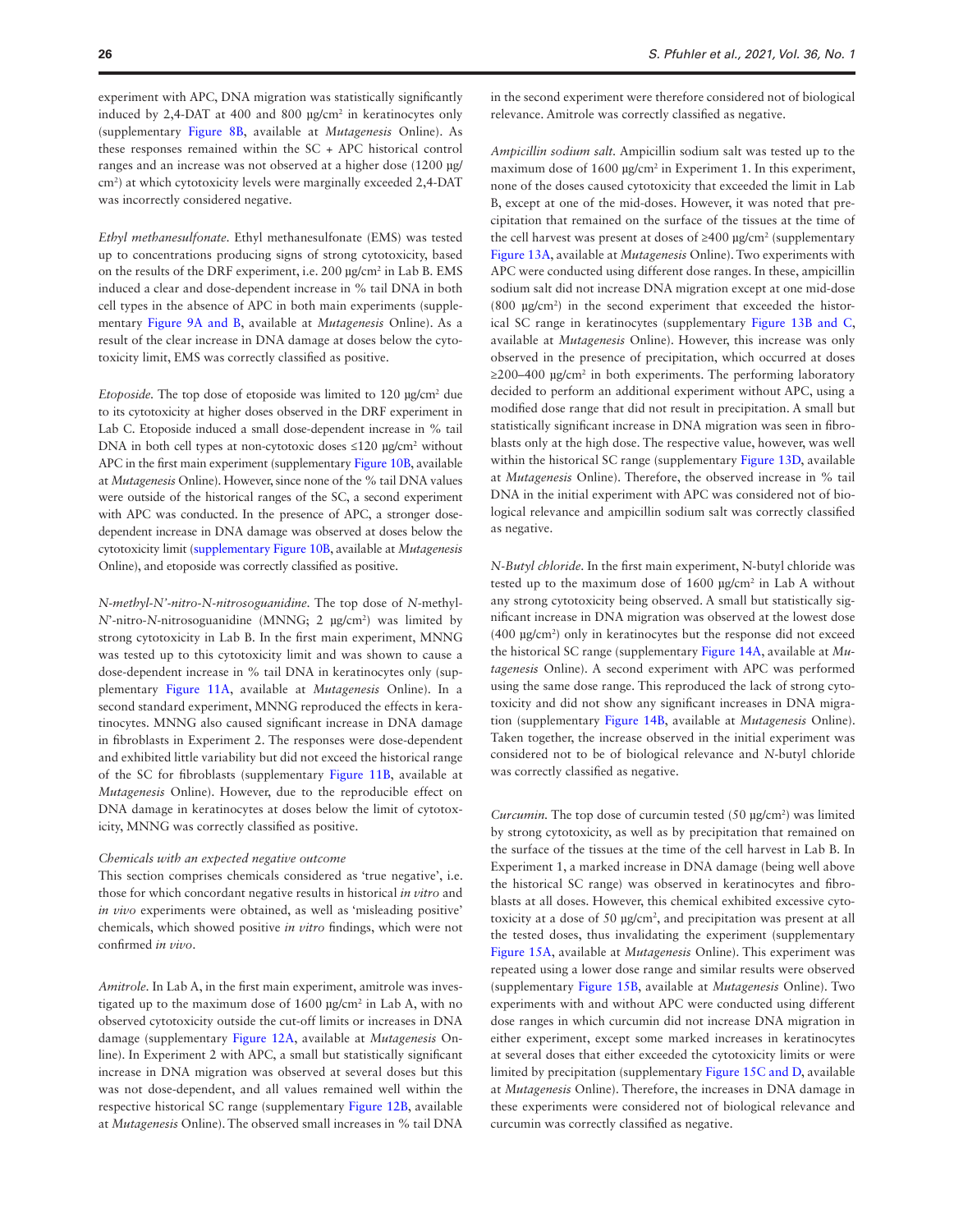experiment with APC, DNA migration was statistically significantly induced by 2,4-DAT at 400 and 800 µg/cm<sup>2</sup> in keratinocytes only (supplementary [Figure 8B](http://academic.oup.com/mutage/article-lookup/doi/10.1093/mutage/geaa009#supplementary-data), available at *Mutagenesis* Online). As these responses remained within the SC + APC historical control ranges and an increase was not observed at a higher dose (1200 µg/ cm2 ) at which cytotoxicity levels were marginally exceeded 2,4-DAT was incorrectly considered negative.

*Ethyl methanesulfonate.* Ethyl methanesulfonate (EMS) was tested up to concentrations producing signs of strong cytotoxicity, based on the results of the DRF experiment, i.e. 200 µg/cm2 in Lab B. EMS induced a clear and dose-dependent increase in % tail DNA in both cell types in the absence of APC in both main experiments (supplementary [Figure 9A and B,](http://academic.oup.com/mutage/article-lookup/doi/10.1093/mutage/geaa009#supplementary-data) available at *Mutagenesis* Online). As a result of the clear increase in DNA damage at doses below the cytotoxicity limit, EMS was correctly classified as positive.

*Etoposide*. The top dose of etoposide was limited to 120 µg/cm<sup>2</sup> due to its cytotoxicity at higher doses observed in the DRF experiment in Lab C. Etoposide induced a small dose-dependent increase in % tail DNA in both cell types at non-cytotoxic doses  $\leq 120$  µg/cm<sup>2</sup> without APC in the first main experiment (supplementary [Figure 10B,](http://academic.oup.com/mutage/article-lookup/doi/10.1093/mutage/geaa009#supplementary-data) available at *Mutagenesis* Online). However, since none of the % tail DNA values were outside of the historical ranges of the SC, a second experiment with APC was conducted. In the presence of APC, a stronger dosedependent increase in DNA damage was observed at doses below the cytotoxicity limit [\(supplementary Figure 10B,](https://academic.oup.com/mutage/article-lookup/doi/10.1093/mutage/geaa009#supplementary-data) available at *Mutagenesis* Online), and etoposide was correctly classified as positive.

*N-methyl-N'-nitro-N-nitrosoguanidine.* The top dose of *N*-methyl-*N*'-nitro-*N*-nitrosoguanidine (MNNG; 2 µg/cm<sup>2</sup>) was limited by strong cytotoxicity in Lab B. In the first main experiment, MNNG was tested up to this cytotoxicity limit and was shown to cause a dose-dependent increase in % tail DNA in keratinocytes only (supplementary [Figure 11A,](http://academic.oup.com/mutage/article-lookup/doi/10.1093/mutage/geaa009#supplementary-data) available at *Mutagenesis* Online). In a second standard experiment, MNNG reproduced the effects in keratinocytes. MNNG also caused significant increase in DNA damage in fibroblasts in Experiment 2. The responses were dose-dependent and exhibited little variability but did not exceed the historical range of the SC for fibroblasts (supplementary [Figure 11B,](http://academic.oup.com/mutage/article-lookup/doi/10.1093/mutage/geaa009#supplementary-data) available at *Mutagenesis* Online). However, due to the reproducible effect on DNA damage in keratinocytes at doses below the limit of cytotoxicity, MNNG was correctly classified as positive.

#### *Chemicals with an expected negative outcome*

This section comprises chemicals considered as 'true negative', i.e. those for which concordant negative results in historical *in vitro* and *in vivo* experiments were obtained, as well as 'misleading positive' chemicals, which showed positive *in vitro* findings, which were not confirmed *in vivo*.

*Amitrole.* In Lab A, in the first main experiment, amitrole was investigated up to the maximum dose of 1600 µg/cm2 in Lab A, with no observed cytotoxicity outside the cut-off limits or increases in DNA damage (supplementary [Figure 12A,](http://academic.oup.com/mutage/article-lookup/doi/10.1093/mutage/geaa009#supplementary-data) available at *Mutagenesis* Online). In Experiment 2 with APC, a small but statistically significant increase in DNA migration was observed at several doses but this was not dose-dependent, and all values remained well within the respective historical SC range (supplementary [Figure 12B,](http://academic.oup.com/mutage/article-lookup/doi/10.1093/mutage/geaa009#supplementary-data) available at *Mutagenesis* Online). The observed small increases in % tail DNA

in the second experiment were therefore considered not of biological relevance. Amitrole was correctly classified as negative.

*Ampicillin sodium salt.* Ampicillin sodium salt was tested up to the maximum dose of 1600 µg/cm<sup>2</sup> in Experiment 1. In this experiment, none of the doses caused cytotoxicity that exceeded the limit in Lab B, except at one of the mid-doses. However, it was noted that precipitation that remained on the surface of the tissues at the time of the cell harvest was present at doses of  $\geq 400$  µg/cm<sup>2</sup> (supplementary [Figure 13A](http://academic.oup.com/mutage/article-lookup/doi/10.1093/mutage/geaa009#supplementary-data), available at *Mutagenesis* Online). Two experiments with APC were conducted using different dose ranges. In these, ampicillin sodium salt did not increase DNA migration except at one mid-dose (800 µg/cm<sup>2</sup>) in the second experiment that exceeded the historical SC range in keratinocytes (supplementary [Figure 13B and C](http://academic.oup.com/mutage/article-lookup/doi/10.1093/mutage/geaa009#supplementary-data), available at *Mutagenesis* Online). However, this increase was only observed in the presence of precipitation, which occurred at doses  $\geq$ 200–400 µg/cm<sup>2</sup> in both experiments. The performing laboratory decided to perform an additional experiment without APC, using a modified dose range that did not result in precipitation. A small but statistically significant increase in DNA migration was seen in fibroblasts only at the high dose. The respective value, however, was well within the historical SC range (supplementary [Figure 13D](http://academic.oup.com/mutage/article-lookup/doi/10.1093/mutage/geaa009#supplementary-data), available at *Mutagenesis* Online). Therefore, the observed increase in % tail DNA in the initial experiment with APC was considered not of biological relevance and ampicillin sodium salt was correctly classified as negative.

*N-Butyl chloride.* In the first main experiment, N-butyl chloride was tested up to the maximum dose of  $1600 \text{ pg/cm}^2$  in Lab A without any strong cytotoxicity being observed. A small but statistically significant increase in DNA migration was observed at the lowest dose (400 µg/cm2 ) only in keratinocytes but the response did not exceed the historical SC range (supplementary [Figure 14A,](http://academic.oup.com/mutage/article-lookup/doi/10.1093/mutage/geaa009#supplementary-data) available at *Mutagenesis* Online). A second experiment with APC was performed using the same dose range. This reproduced the lack of strong cytotoxicity and did not show any significant increases in DNA migration (supplementary [Figure 14B,](http://academic.oup.com/mutage/article-lookup/doi/10.1093/mutage/geaa009#supplementary-data) available at *Mutagenesis* Online). Taken together, the increase observed in the initial experiment was considered not to be of biological relevance and *N*-butyl chloride was correctly classified as negative.

Curcumin. The top dose of curcumin tested (50 µg/cm<sup>2</sup>) was limited by strong cytotoxicity, as well as by precipitation that remained on the surface of the tissues at the time of the cell harvest in Lab B. In Experiment 1, a marked increase in DNA damage (being well above the historical SC range) was observed in keratinocytes and fibroblasts at all doses. However, this chemical exhibited excessive cytotoxicity at a dose of 50 µg/cm2 , and precipitation was present at all the tested doses, thus invalidating the experiment (supplementary [Figure 15A](http://academic.oup.com/mutage/article-lookup/doi/10.1093/mutage/geaa009#supplementary-data), available at *Mutagenesis* Online). This experiment was repeated using a lower dose range and similar results were observed (supplementary [Figure 15B,](http://academic.oup.com/mutage/article-lookup/doi/10.1093/mutage/geaa009#supplementary-data) available at *Mutagenesis* Online). Two experiments with and without APC were conducted using different dose ranges in which curcumin did not increase DNA migration in either experiment, except some marked increases in keratinocytes at several doses that either exceeded the cytotoxicity limits or were limited by precipitation (supplementary [Figure 15C and D](http://academic.oup.com/mutage/article-lookup/doi/10.1093/mutage/geaa009#supplementary-data), available at *Mutagenesis* Online). Therefore, the increases in DNA damage in these experiments were considered not of biological relevance and curcumin was correctly classified as negative.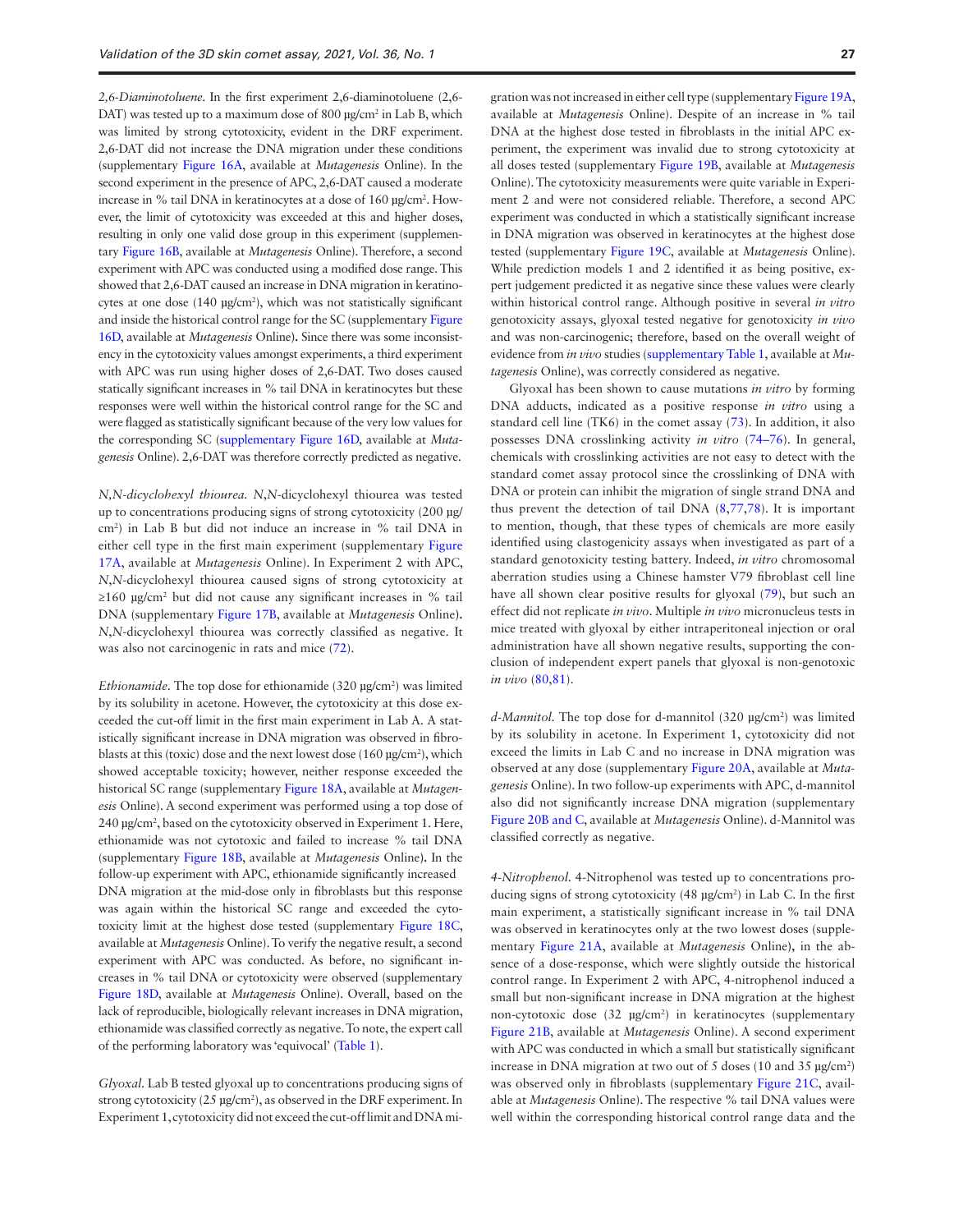*2,6-Diaminotoluene.* In the first experiment 2,6-diaminotoluene (2,6- DAT) was tested up to a maximum dose of 800 µg/cm<sup>2</sup> in Lab B, which was limited by strong cytotoxicity, evident in the DRF experiment. 2,6-DAT did not increase the DNA migration under these conditions (supplementary [Figure 16A,](http://academic.oup.com/mutage/article-lookup/doi/10.1093/mutage/geaa009#supplementary-data) available at *Mutagenesis* Online). In the second experiment in the presence of APC, 2,6-DAT caused a moderate increase in % tail DNA in keratinocytes at a dose of 160 µg/cm2 . However, the limit of cytotoxicity was exceeded at this and higher doses, resulting in only one valid dose group in this experiment (supplementary [Figure 16B](http://academic.oup.com/mutage/article-lookup/doi/10.1093/mutage/geaa009#supplementary-data), available at *Mutagenesis* Online). Therefore, a second experiment with APC was conducted using a modified dose range. This showed that 2,6-DAT caused an increase in DNA migration in keratinocytes at one dose (140 µg/cm<sup>2</sup>), which was not statistically significant and inside the historical control range for the SC (supplementary [Figure](http://academic.oup.com/mutage/article-lookup/doi/10.1093/mutage/geaa009#supplementary-data) [16D](http://academic.oup.com/mutage/article-lookup/doi/10.1093/mutage/geaa009#supplementary-data), available at *Mutagenesis* Online**).** Since there was some inconsistency in the cytotoxicity values amongst experiments, a third experiment with APC was run using higher doses of 2,6-DAT. Two doses caused statically significant increases in % tail DNA in keratinocytes but these responses were well within the historical control range for the SC and were flagged as statistically significant because of the very low values for the corresponding SC [\(supplementary Figure 16D,](https://academic.oup.com/mutage/article-lookup/doi/10.1093/mutage/geaa009#supplementary-data) available at *Mutagenesis* Online). 2,6-DAT was therefore correctly predicted as negative.

*N,N-dicyclohexyl thiourea. N*,*N*-dicyclohexyl thiourea was tested up to concentrations producing signs of strong cytotoxicity (200 µg/ cm2 ) in Lab B but did not induce an increase in % tail DNA in either cell type in the first main experiment (supplementary [Figure](http://academic.oup.com/mutage/article-lookup/doi/10.1093/mutage/geaa009#supplementary-data) [17A,](http://academic.oup.com/mutage/article-lookup/doi/10.1093/mutage/geaa009#supplementary-data) available at *Mutagenesis* Online). In Experiment 2 with APC, *N*,*N*-dicyclohexyl thiourea caused signs of strong cytotoxicity at ≥160 µg/cm2 but did not cause any significant increases in % tail DNA (supplementary [Figure 17B,](http://academic.oup.com/mutage/article-lookup/doi/10.1093/mutage/geaa009#supplementary-data) available at *Mutagenesis* Online**).** *N*,*N*-dicyclohexyl thiourea was correctly classified as negative. It was also not carcinogenic in rats and mice ([72\)](#page-15-28).

Ethionamide. The top dose for ethionamide (320 µg/cm<sup>2</sup>) was limited by its solubility in acetone. However, the cytotoxicity at this dose exceeded the cut-off limit in the first main experiment in Lab A. A statistically significant increase in DNA migration was observed in fibroblasts at this (toxic) dose and the next lowest dose (160 µg/cm<sup>2</sup>), which showed acceptable toxicity; however, neither response exceeded the historical SC range (supplementary [Figure 18A](http://academic.oup.com/mutage/article-lookup/doi/10.1093/mutage/geaa009#supplementary-data), available at *Mutagenesis* Online). A second experiment was performed using a top dose of 240 µg/cm<sup>2</sup>, based on the cytotoxicity observed in Experiment 1. Here, ethionamide was not cytotoxic and failed to increase % tail DNA (supplementary [Figure 18B,](http://academic.oup.com/mutage/article-lookup/doi/10.1093/mutage/geaa009#supplementary-data) available at *Mutagenesis* Online**).** In the follow-up experiment with APC, ethionamide significantly increased DNA migration at the mid-dose only in fibroblasts but this response was again within the historical SC range and exceeded the cytotoxicity limit at the highest dose tested (supplementary [Figure 18C](http://academic.oup.com/mutage/article-lookup/doi/10.1093/mutage/geaa009#supplementary-data), available at *Mutagenesis* Online). To verify the negative result, a second experiment with APC was conducted. As before, no significant increases in % tail DNA or cytotoxicity were observed (supplementary [Figure 18D,](http://academic.oup.com/mutage/article-lookup/doi/10.1093/mutage/geaa009#supplementary-data) available at *Mutagenesis* Online). Overall, based on the lack of reproducible, biologically relevant increases in DNA migration, ethionamide was classified correctly as negative. To note, the expert call of the performing laboratory was 'equivocal' ([Table 1](#page-5-0)).

*Glyoxal.* Lab B tested glyoxal up to concentrations producing signs of strong cytotoxicity (25 µg/cm<sup>2</sup>), as observed in the DRF experiment. In Experiment 1, cytotoxicity did not exceed the cut-off limit and DNA mi-

gration was not increased in either cell type (supplementary [Figure 19A](http://academic.oup.com/mutage/article-lookup/doi/10.1093/mutage/geaa009#supplementary-data), available at *Mutagenesis* Online). Despite of an increase in % tail DNA at the highest dose tested in fibroblasts in the initial APC experiment, the experiment was invalid due to strong cytotoxicity at all doses tested (supplementary [Figure 19B](http://academic.oup.com/mutage/article-lookup/doi/10.1093/mutage/geaa009#supplementary-data), available at *Mutagenesis* Online). The cytotoxicity measurements were quite variable in Experiment 2 and were not considered reliable. Therefore, a second APC experiment was conducted in which a statistically significant increase in DNA migration was observed in keratinocytes at the highest dose tested (supplementary [Figure 19C,](http://academic.oup.com/mutage/article-lookup/doi/10.1093/mutage/geaa009#supplementary-data) available at *Mutagenesis* Online). While prediction models 1 and 2 identified it as being positive, expert judgement predicted it as negative since these values were clearly within historical control range. Although positive in several *in vitro* genotoxicity assays, glyoxal tested negative for genotoxicity *in vivo* and was non-carcinogenic; therefore, based on the overall weight of evidence from *in vivo* studies [\(supplementary Table 1](http://academic.oup.com/mutage/article-lookup/doi/10.1093/mutage/geaa009#supplementary-data), available at *Mutagenesis* Online), was correctly considered as negative.

Glyoxal has been shown to cause mutations *in vitro* by forming DNA adducts, indicated as a positive response *in vitro* using a standard cell line (TK6) in the comet assay [\(73](#page-15-29)). In addition, it also possesses DNA crosslinking activity *in vitro* [\(74–](#page-15-30)[76\)](#page-15-31). In general, chemicals with crosslinking activities are not easy to detect with the standard comet assay protocol since the crosslinking of DNA with DNA or protein can inhibit the migration of single strand DNA and thus prevent the detection of tail DNA ([8](#page-14-3),[77,](#page-15-32)[78\)](#page-15-33). It is important to mention, though, that these types of chemicals are more easily identified using clastogenicity assays when investigated as part of a standard genotoxicity testing battery. Indeed, *in vitro* chromosomal aberration studies using a Chinese hamster V79 fibroblast cell line have all shown clear positive results for glyoxal ([79\)](#page-16-0), but such an effect did not replicate *in vivo*. Multiple *in vivo* micronucleus tests in mice treated with glyoxal by either intraperitoneal injection or oral administration have all shown negative results, supporting the conclusion of independent expert panels that glyoxal is non-genotoxic *in vivo* ([80](#page-16-1),[81\)](#page-16-2).

d-Mannitol. The top dose for d-mannitol (320 µg/cm<sup>2</sup>) was limited by its solubility in acetone. In Experiment 1, cytotoxicity did not exceed the limits in Lab C and no increase in DNA migration was observed at any dose (supplementary [Figure 20A](http://academic.oup.com/mutage/article-lookup/doi/10.1093/mutage/geaa009#supplementary-data), available at *Mutagenesis* Online). In two follow-up experiments with APC, d-mannitol also did not significantly increase DNA migration (supplementary [Figure 20B and C,](http://academic.oup.com/mutage/article-lookup/doi/10.1093/mutage/geaa009#supplementary-data) available at *Mutagenesis* Online). d-Mannitol was classified correctly as negative.

*4-Nitrophenol.* 4-Nitrophenol was tested up to concentrations producing signs of strong cytotoxicity (48 µg/cm2 ) in Lab C. In the first main experiment, a statistically significant increase in % tail DNA was observed in keratinocytes only at the two lowest doses (supplementary [Figure 21A,](http://academic.oup.com/mutage/article-lookup/doi/10.1093/mutage/geaa009#supplementary-data) available at *Mutagenesis* Online**),** in the absence of a dose-response, which were slightly outside the historical control range. In Experiment 2 with APC, 4-nitrophenol induced a small but non-significant increase in DNA migration at the highest non-cytotoxic dose (32 µg/cm<sup>2</sup>) in keratinocytes (supplementary [Figure 21B](http://academic.oup.com/mutage/article-lookup/doi/10.1093/mutage/geaa009#supplementary-data), available at *Mutagenesis* Online). A second experiment with APC was conducted in which a small but statistically significant increase in DNA migration at two out of 5 doses (10 and 35 µg/cm2 ) was observed only in fibroblasts (supplementary [Figure 21C](http://academic.oup.com/mutage/article-lookup/doi/10.1093/mutage/geaa009#supplementary-data), available at *Mutagenesis* Online). The respective % tail DNA values were well within the corresponding historical control range data and the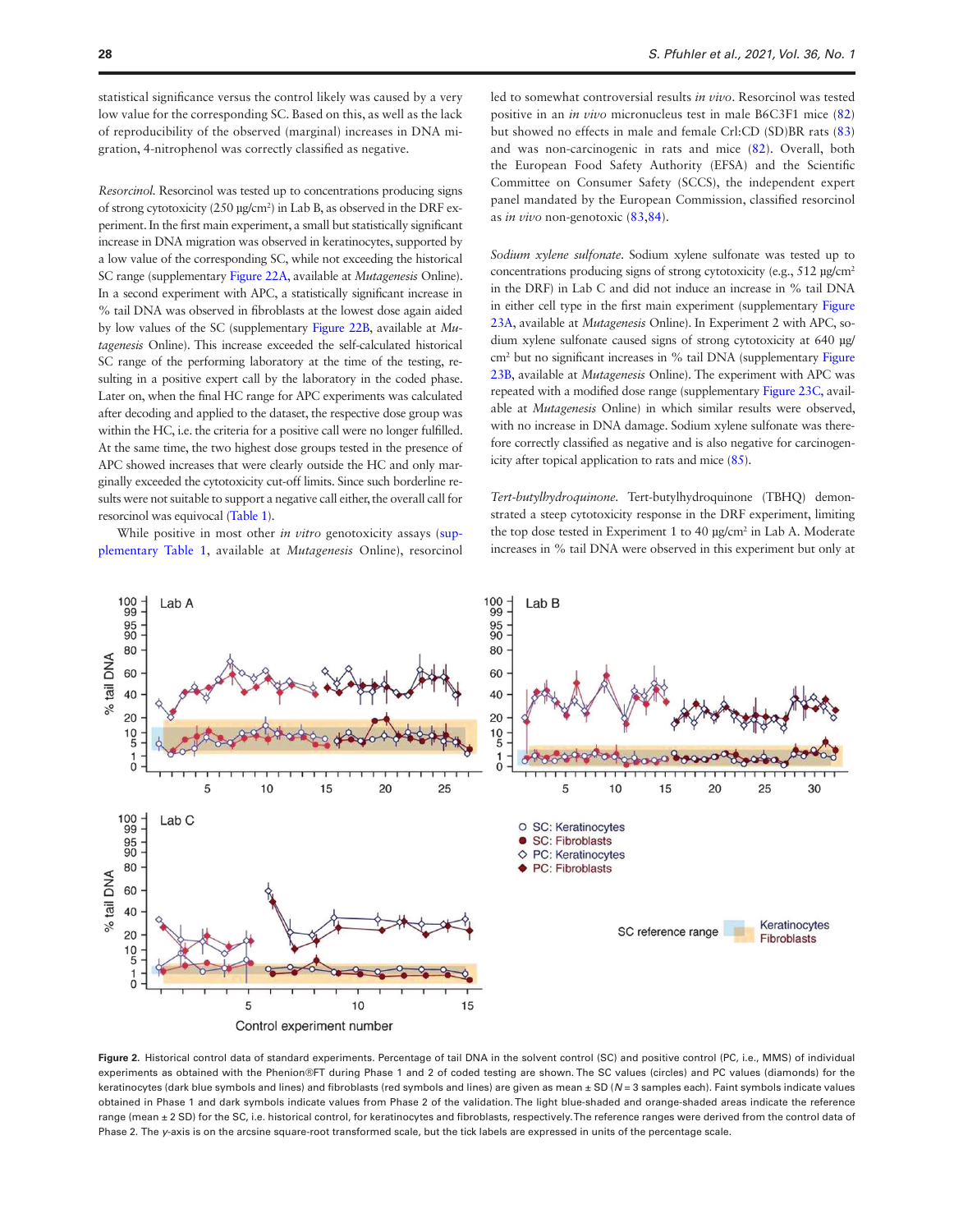statistical significance versus the control likely was caused by a very low value for the corresponding SC. Based on this, as well as the lack of reproducibility of the observed (marginal) increases in DNA migration, 4-nitrophenol was correctly classified as negative.

*Resorcinol.* Resorcinol was tested up to concentrations producing signs of strong cytotoxicity (250 µg/cm2 ) in Lab B, as observed in the DRF experiment. In the first main experiment, a small but statistically significant increase in DNA migration was observed in keratinocytes, supported by a low value of the corresponding SC, while not exceeding the historical SC range (supplementary [Figure 22A](http://academic.oup.com/mutage/article-lookup/doi/10.1093/mutage/geaa009#supplementary-data), available at *Mutagenesis* Online). In a second experiment with APC, a statistically significant increase in % tail DNA was observed in fibroblasts at the lowest dose again aided by low values of the SC (supplementary [Figure 22B](http://academic.oup.com/mutage/article-lookup/doi/10.1093/mutage/geaa009#supplementary-data), available at *Mutagenesis* Online). This increase exceeded the self-calculated historical SC range of the performing laboratory at the time of the testing, resulting in a positive expert call by the laboratory in the coded phase. Later on, when the final HC range for APC experiments was calculated after decoding and applied to the dataset, the respective dose group was within the HC, i.e. the criteria for a positive call were no longer fulfilled. At the same time, the two highest dose groups tested in the presence of APC showed increases that were clearly outside the HC and only marginally exceeded the cytotoxicity cut-off limits. Since such borderline results were not suitable to support a negative call either, the overall call for resorcinol was equivocal ([Table 1\)](#page-5-0).

While positive in most other *in vitro* genotoxicity assays [\(sup](http://academic.oup.com/mutage/article-lookup/doi/10.1093/mutage/geaa009#supplementary-data)[plementary Table 1,](http://academic.oup.com/mutage/article-lookup/doi/10.1093/mutage/geaa009#supplementary-data) available at *Mutagenesis* Online), resorcinol

led to somewhat controversial results *in vivo*. Resorcinol was tested positive in an *in vivo* micronucleus test in male B6C3F1 mice ([82](#page-16-3)) but showed no effects in male and female Crl:CD (SD)BR rats ([83](#page-16-4)) and was non-carcinogenic in rats and mice ([82\)](#page-16-3). Overall, both the European Food Safety Authority (EFSA) and the Scientific Committee on Consumer Safety (SCCS), the independent expert panel mandated by the European Commission, classified resorcinol as *in vivo* non-genotoxic ([83,](#page-16-4)[84\)](#page-16-5).

*Sodium xylene sulfonate.* Sodium xylene sulfonate was tested up to concentrations producing signs of strong cytotoxicity (e.g., 512 µg/cm<sup>2</sup> in the DRF) in Lab C and did not induce an increase in % tail DNA in either cell type in the first main experiment (supplementary [Figure](http://academic.oup.com/mutage/article-lookup/doi/10.1093/mutage/geaa009#supplementary-data) [23A](http://academic.oup.com/mutage/article-lookup/doi/10.1093/mutage/geaa009#supplementary-data), available at *Mutagenesis* Online). In Experiment 2 with APC, sodium xylene sulfonate caused signs of strong cytotoxicity at 640 µg/ cm<sup>2</sup> but no significant increases in % tail DNA (supplementary [Figure](http://academic.oup.com/mutage/article-lookup/doi/10.1093/mutage/geaa009#supplementary-data) [23B](http://academic.oup.com/mutage/article-lookup/doi/10.1093/mutage/geaa009#supplementary-data), available at *Mutagenesis* Online). The experiment with APC was repeated with a modified dose range (supplementary [Figure 23C,](http://academic.oup.com/mutage/article-lookup/doi/10.1093/mutage/geaa009#supplementary-data) available at *Mutagenesis* Online) in which similar results were observed, with no increase in DNA damage. Sodium xylene sulfonate was therefore correctly classified as negative and is also negative for carcinogenicity after topical application to rats and mice [\(85\)](#page-16-6).

*Tert-butylhydroquinone.* Tert-butylhydroquinone (TBHQ) demonstrated a steep cytotoxicity response in the DRF experiment, limiting the top dose tested in Experiment 1 to 40 µg/cm2 in Lab A. Moderate increases in % tail DNA were observed in this experiment but only at



<span id="page-9-0"></span>**Figure 2.** Historical control data of standard experiments. Percentage of tail DNA in the solvent control (SC) and positive control (PC, i.e., MMS) of individual experiments as obtained with the Phenion®FT during Phase 1 and 2 of coded testing are shown. The SC values (circles) and PC values (diamonds) for the keratinocytes (dark blue symbols and lines) and fibroblasts (red symbols and lines) are given as mean ± SD (N = 3 samples each). Faint symbols indicate values obtained in Phase 1 and dark symbols indicate values from Phase 2 of the validation. The light blue-shaded and orange-shaded areas indicate the reference range (mean ± 2 SD) for the SC, i.e. historical control, for keratinocytes and fibroblasts, respectively. The reference ranges were derived from the control data of Phase 2. The *y*-axis is on the arcsine square-root transformed scale, but the tick labels are expressed in units of the percentage scale.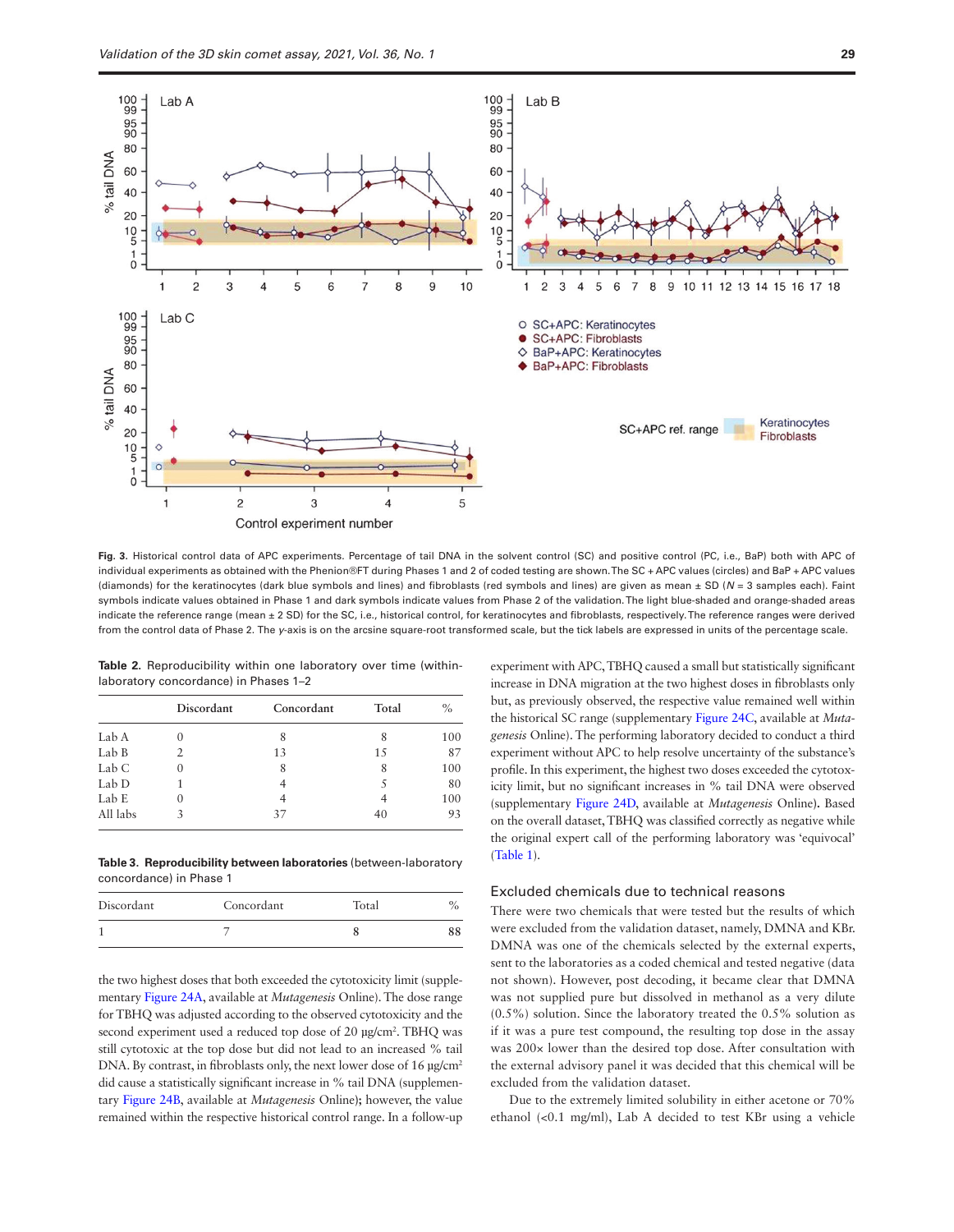

<span id="page-10-0"></span>**Fig. 3.** Historical control data of APC experiments. Percentage of tail DNA in the solvent control (SC) and positive control (PC, i.e., BaP) both with APC of individual experiments as obtained with the Phenion®FT during Phases 1 and 2 of coded testing are shown. The SC + APC values (circles) and BaP + APC values (diamonds) for the keratinocytes (dark blue symbols and lines) and fibroblasts (red symbols and lines) are given as mean ± SD (*N* = 3 samples each). Faint symbols indicate values obtained in Phase 1 and dark symbols indicate values from Phase 2 of the validation. The light blue-shaded and orange-shaded areas indicate the reference range (mean ± 2 SD) for the SC, i.e., historical control, for keratinocytes and fibroblasts, respectively. The reference ranges were derived from the control data of Phase 2. The *y*-axis is on the arcsine square-root transformed scale, but the tick labels are expressed in units of the percentage scale.

<span id="page-10-1"></span>**Table 2.** Reproducibility within one laboratory over time (withinlaboratory concordance) in Phases 1–2

|          | Discordant       | Concordant | Total | $\%$ |
|----------|------------------|------------|-------|------|
| Lab A    | $\left( \right)$ | 8          | 8     | 100  |
| Lab B    |                  | 13         | 15    | 87   |
| Lab C    | 0                | 8          | 8     | 100  |
| Lab D    |                  | 4          | 5     | 80   |
| Lab E    | 0                |            | 4     | 100  |
| All labs | 3                | 37         | 40    | 93   |

<span id="page-10-2"></span>**Table 3. Reproducibility between laboratories** (between-laboratory concordance) in Phase 1

| Discordant | Concordant | Total |  |
|------------|------------|-------|--|
|            |            |       |  |

the two highest doses that both exceeded the cytotoxicity limit (supplementary [Figure 24A](http://academic.oup.com/mutage/article-lookup/doi/10.1093/mutage/geaa009#supplementary-data), available at *Mutagenesis* Online). The dose range for TBHQ was adjusted according to the observed cytotoxicity and the second experiment used a reduced top dose of 20 µg/cm<sup>2</sup>. TBHQ was still cytotoxic at the top dose but did not lead to an increased % tail DNA. By contrast, in fibroblasts only, the next lower dose of 16 µg/cm<sup>2</sup> did cause a statistically significant increase in % tail DNA (supplementary [Figure 24B,](http://academic.oup.com/mutage/article-lookup/doi/10.1093/mutage/geaa009#supplementary-data) available at *Mutagenesis* Online**);** however, the value remained within the respective historical control range. In a follow-up

experiment with APC, TBHQ caused a small but statistically significant increase in DNA migration at the two highest doses in fibroblasts only but, as previously observed, the respective value remained well within the historical SC range (supplementary [Figure 24C](http://academic.oup.com/mutage/article-lookup/doi/10.1093/mutage/geaa009#supplementary-data), available at *Mutagenesis* Online). The performing laboratory decided to conduct a third experiment without APC to help resolve uncertainty of the substance's profile. In this experiment, the highest two doses exceeded the cytotoxicity limit, but no significant increases in % tail DNA were observed (supplementary [Figure 24D](http://academic.oup.com/mutage/article-lookup/doi/10.1093/mutage/geaa009#supplementary-data), available at *Mutagenesis* Online**).** Based on the overall dataset, TBHQ was classified correctly as negative while the original expert call of the performing laboratory was 'equivocal' ([Table 1](#page-5-0)).

#### Excluded chemicals due to technical reasons

There were two chemicals that were tested but the results of which were excluded from the validation dataset, namely, DMNA and KBr. DMNA was one of the chemicals selected by the external experts, sent to the laboratories as a coded chemical and tested negative (data not shown). However, post decoding, it became clear that DMNA was not supplied pure but dissolved in methanol as a very dilute (0.5%) solution. Since the laboratory treated the 0.5% solution as if it was a pure test compound, the resulting top dose in the assay was 200× lower than the desired top dose. After consultation with the external advisory panel it was decided that this chemical will be excluded from the validation dataset.

Due to the extremely limited solubility in either acetone or 70% ethanol (<0.1 mg/ml), Lab A decided to test KBr using a vehicle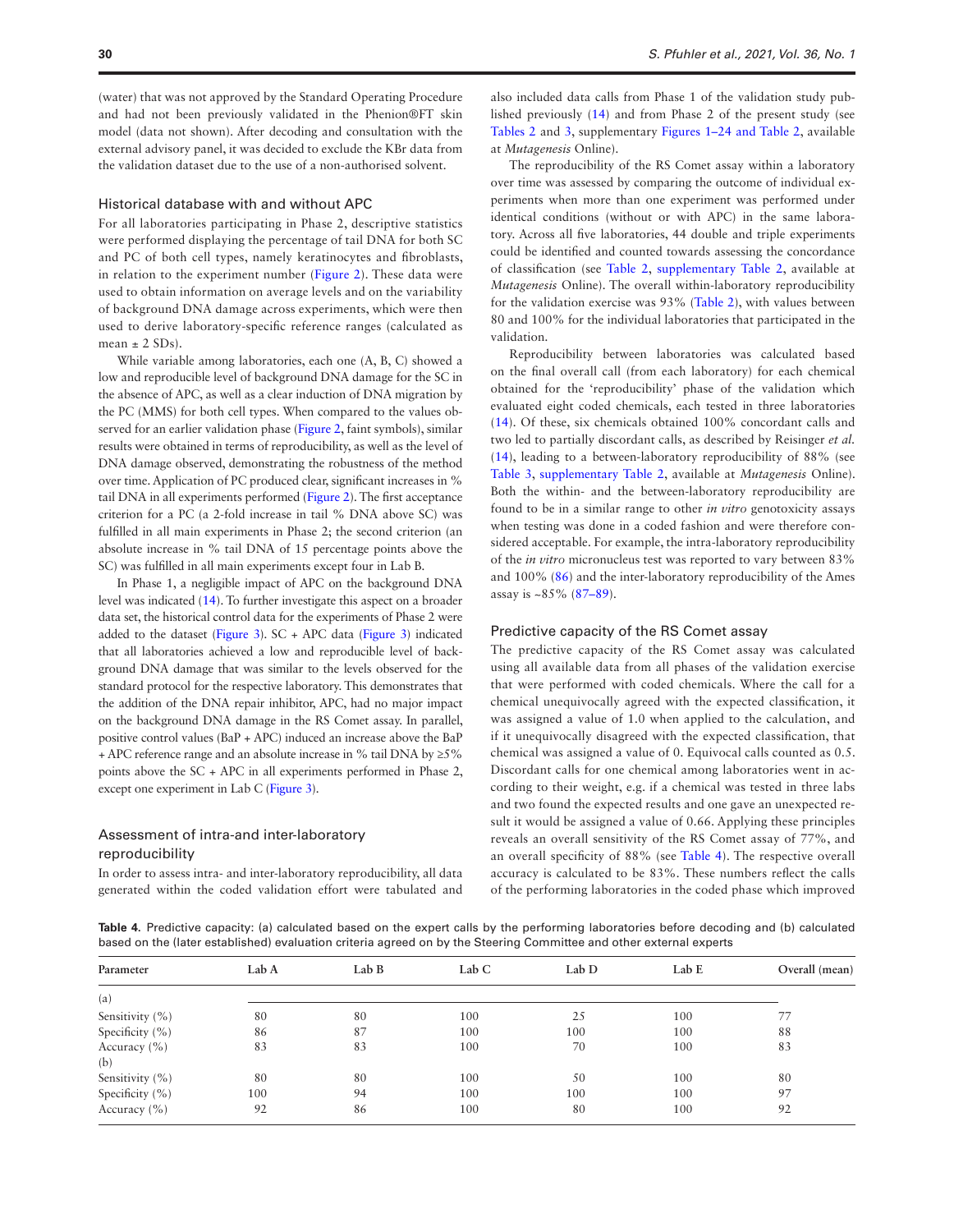(water) that was not approved by the Standard Operating Procedure and had not been previously validated in the Phenion®FT skin model (data not shown). After decoding and consultation with the external advisory panel, it was decided to exclude the KBr data from the validation dataset due to the use of a non-authorised solvent.

#### Historical database with and without APC

For all laboratories participating in Phase 2, descriptive statistics were performed displaying the percentage of tail DNA for both SC and PC of both cell types, namely keratinocytes and fibroblasts, in relation to the experiment number ([Figure 2\)](#page-9-0). These data were used to obtain information on average levels and on the variability of background DNA damage across experiments, which were then used to derive laboratory-specific reference ranges (calculated as mean  $\pm$  2 SDs).

While variable among laboratories, each one (A, B, C) showed a low and reproducible level of background DNA damage for the SC in the absence of APC, as well as a clear induction of DNA migration by the PC (MMS) for both cell types. When compared to the values ob-served for an earlier validation phase [\(Figure 2,](#page-9-0) faint symbols), similar results were obtained in terms of reproducibility, as well as the level of DNA damage observed, demonstrating the robustness of the method over time. Application of PC produced clear, significant increases in % tail DNA in all experiments performed [\(Figure 2\)](#page-9-0). The first acceptance criterion for a PC (a 2-fold increase in tail % DNA above SC) was fulfilled in all main experiments in Phase 2; the second criterion (an absolute increase in % tail DNA of 15 percentage points above the SC) was fulfilled in all main experiments except four in Lab B.

In Phase 1, a negligible impact of APC on the background DNA level was indicated ([14\)](#page-14-7). To further investigate this aspect on a broader data set, the historical control data for the experiments of Phase 2 were added to the dataset ([Figure 3\)](#page-10-0). SC + APC data [\(Figure 3](#page-10-0)) indicated that all laboratories achieved a low and reproducible level of background DNA damage that was similar to the levels observed for the standard protocol for the respective laboratory. This demonstrates that the addition of the DNA repair inhibitor, APC, had no major impact on the background DNA damage in the RS Comet assay. In parallel, positive control values (BaP + APC) induced an increase above the BaP + APC reference range and an absolute increase in % tail DNA by ≥5% points above the SC + APC in all experiments performed in Phase 2, except one experiment in Lab C [\(Figure 3](#page-10-0)).

#### Assessment of intra-and inter-laboratory reproducibility

In order to assess intra- and inter-laboratory reproducibility, all data generated within the coded validation effort were tabulated and

also included data calls from Phase 1 of the validation study published previously ([14\)](#page-14-7) and from Phase 2 of the present study (see [Tables 2](#page-10-1) and [3,](#page-10-2) supplementary [Figures 1–24 and Table 2,](http://academic.oup.com/mutage/article-lookup/doi/10.1093/mutage/geaa009#supplementary-data) available at *Mutagenesis* Online).

The reproducibility of the RS Comet assay within a laboratory over time was assessed by comparing the outcome of individual experiments when more than one experiment was performed under identical conditions (without or with APC) in the same laboratory. Across all five laboratories, 44 double and triple experiments could be identified and counted towards assessing the concordance of classification (see [Table 2](#page-10-1), [supplementary Table 2,](http://academic.oup.com/mutage/article-lookup/doi/10.1093/mutage/geaa009#supplementary-data) available at *Mutagenesis* Online). The overall within-laboratory reproducibility for the validation exercise was 93% ([Table 2\)](#page-10-1), with values between 80 and 100% for the individual laboratories that participated in the validation.

Reproducibility between laboratories was calculated based on the final overall call (from each laboratory) for each chemical obtained for the 'reproducibility' phase of the validation which evaluated eight coded chemicals, each tested in three laboratories ([14\)](#page-14-7). Of these, six chemicals obtained 100% concordant calls and two led to partially discordant calls, as described by Reisinger *et al.* ([14\)](#page-14-7), leading to a between-laboratory reproducibility of 88% (see [Table 3,](#page-10-2) [supplementary Table 2,](http://academic.oup.com/mutage/article-lookup/doi/10.1093/mutage/geaa009#supplementary-data) available at *Mutagenesis* Online). Both the within- and the between-laboratory reproducibility are found to be in a similar range to other *in vitro* genotoxicity assays when testing was done in a coded fashion and were therefore considered acceptable. For example, the intra-laboratory reproducibility of the *in vitro* micronucleus test was reported to vary between 83% and 100% [\(86](#page-16-7)) and the inter-laboratory reproducibility of the Ames assay is  $~85\%$  [\(87](#page-16-8)[–89](#page-16-9)).

#### Predictive capacity of the RS Comet assay

The predictive capacity of the RS Comet assay was calculated using all available data from all phases of the validation exercise that were performed with coded chemicals. Where the call for a chemical unequivocally agreed with the expected classification, it was assigned a value of 1.0 when applied to the calculation, and if it unequivocally disagreed with the expected classification, that chemical was assigned a value of 0. Equivocal calls counted as 0.5. Discordant calls for one chemical among laboratories went in according to their weight, e.g. if a chemical was tested in three labs and two found the expected results and one gave an unexpected result it would be assigned a value of 0.66. Applying these principles reveals an overall sensitivity of the RS Comet assay of 77%, and an overall specificity of 88% (see [Table 4\)](#page-11-0). The respective overall accuracy is calculated to be 83%. These numbers reflect the calls of the performing laboratories in the coded phase which improved

<span id="page-11-0"></span>**Table 4.** Predictive capacity: (a) calculated based on the expert calls by the performing laboratories before decoding and (b) calculated based on the (later established) evaluation criteria agreed on by the Steering Committee and other external experts

| Parameter           | Lab A | Lab B | Lab C | Lab D | Lab E | Overall (mean) |
|---------------------|-------|-------|-------|-------|-------|----------------|
| (a)                 |       |       |       |       |       |                |
| Sensitivity (%)     | 80    | 80    | 100   | 25    | 100   | 77             |
| Specificity $(\% )$ | 86    | 87    | 100   | 100   | 100   | 88             |
| Accuracy $(\% )$    | 83    | 83    | 100   | 70    | 100   | 83             |
| (b)                 |       |       |       |       |       |                |
| Sensitivity (%)     | 80    | 80    | 100   | 50    | 100   | 80             |
| Specificity $(\% )$ | 100   | 94    | 100   | 100   | 100   | 97             |
| Accuracy $(\% )$    | 92    | 86    | 100   | 80    | 100   | 92             |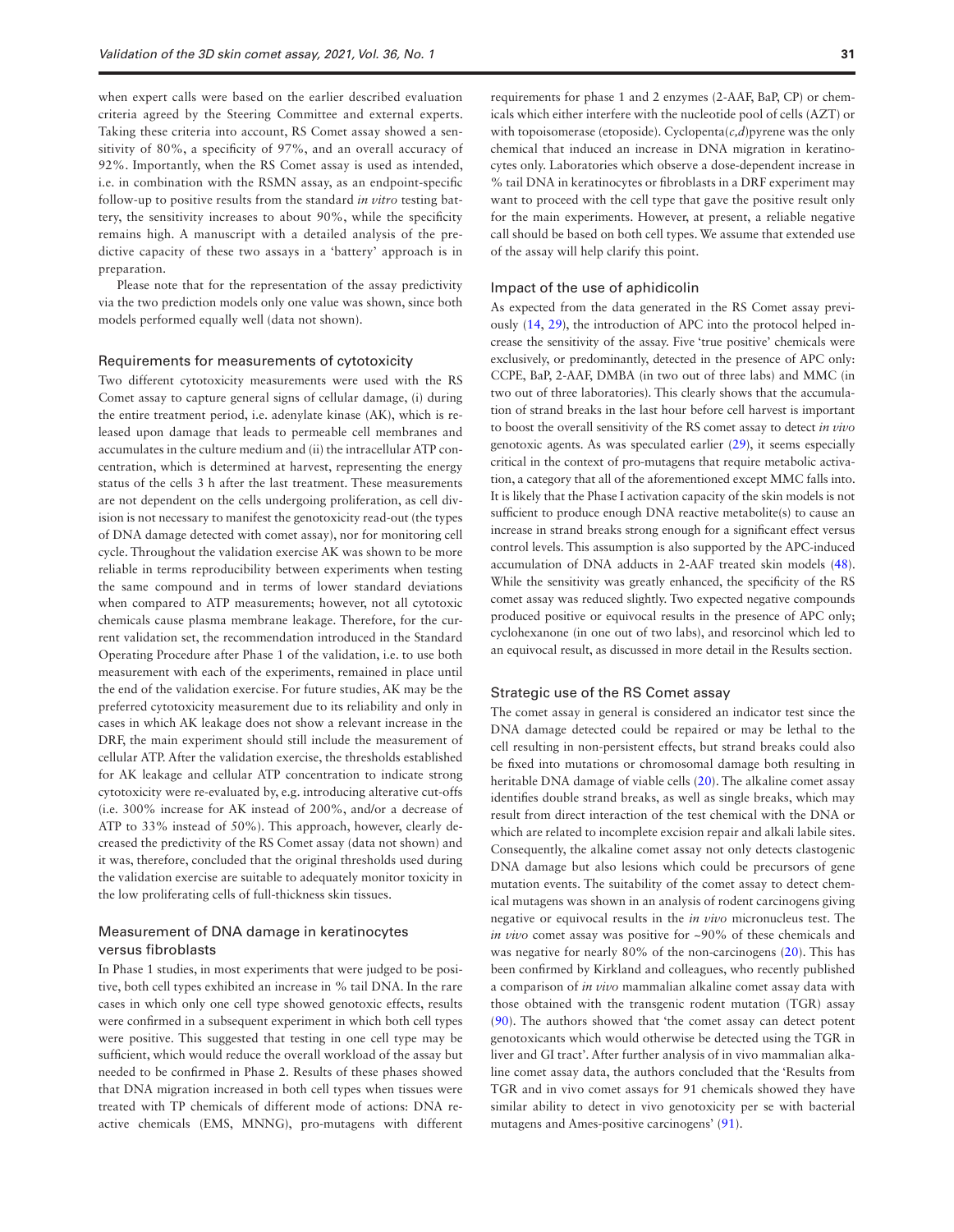when expert calls were based on the earlier described evaluation criteria agreed by the Steering Committee and external experts. Taking these criteria into account, RS Comet assay showed a sensitivity of 80%, a specificity of 97%, and an overall accuracy of 92%. Importantly, when the RS Comet assay is used as intended, i.e. in combination with the RSMN assay, as an endpoint-specific follow-up to positive results from the standard *in vitro* testing battery, the sensitivity increases to about 90%, while the specificity remains high. A manuscript with a detailed analysis of the predictive capacity of these two assays in a 'battery' approach is in preparation.

Please note that for the representation of the assay predictivity via the two prediction models only one value was shown, since both models performed equally well (data not shown).

#### Requirements for measurements of cytotoxicity

Two different cytotoxicity measurements were used with the RS Comet assay to capture general signs of cellular damage, (i) during the entire treatment period, i.e. adenylate kinase (AK), which is released upon damage that leads to permeable cell membranes and accumulates in the culture medium and (ii) the intracellular ATP concentration, which is determined at harvest, representing the energy status of the cells 3 h after the last treatment. These measurements are not dependent on the cells undergoing proliferation, as cell division is not necessary to manifest the genotoxicity read-out (the types of DNA damage detected with comet assay), nor for monitoring cell cycle. Throughout the validation exercise AK was shown to be more reliable in terms reproducibility between experiments when testing the same compound and in terms of lower standard deviations when compared to ATP measurements; however, not all cytotoxic chemicals cause plasma membrane leakage. Therefore, for the current validation set, the recommendation introduced in the Standard Operating Procedure after Phase 1 of the validation, i.e. to use both measurement with each of the experiments, remained in place until the end of the validation exercise. For future studies, AK may be the preferred cytotoxicity measurement due to its reliability and only in cases in which AK leakage does not show a relevant increase in the DRF, the main experiment should still include the measurement of cellular ATP. After the validation exercise, the thresholds established for AK leakage and cellular ATP concentration to indicate strong cytotoxicity were re-evaluated by, e.g. introducing alterative cut-offs (i.e. 300% increase for AK instead of 200%, and/or a decrease of ATP to 33% instead of 50%). This approach, however, clearly decreased the predictivity of the RS Comet assay (data not shown) and it was, therefore, concluded that the original thresholds used during the validation exercise are suitable to adequately monitor toxicity in the low proliferating cells of full-thickness skin tissues.

#### Measurement of DNA damage in keratinocytes versus fibroblasts

In Phase 1 studies, in most experiments that were judged to be positive, both cell types exhibited an increase in % tail DNA. In the rare cases in which only one cell type showed genotoxic effects, results were confirmed in a subsequent experiment in which both cell types were positive. This suggested that testing in one cell type may be sufficient, which would reduce the overall workload of the assay but needed to be confirmed in Phase 2. Results of these phases showed that DNA migration increased in both cell types when tissues were treated with TP chemicals of different mode of actions: DNA reactive chemicals (EMS, MNNG), pro-mutagens with different

requirements for phase 1 and 2 enzymes (2-AAF, BaP, CP) or chemicals which either interfere with the nucleotide pool of cells (AZT) or with topoisomerase (etoposide). Cyclopenta(*c*,*d*)pyrene was the only chemical that induced an increase in DNA migration in keratinocytes only. Laboratories which observe a dose-dependent increase in % tail DNA in keratinocytes or fibroblasts in a DRF experiment may want to proceed with the cell type that gave the positive result only for the main experiments. However, at present, a reliable negative call should be based on both cell types. We assume that extended use of the assay will help clarify this point.

#### Impact of the use of aphidicolin

As expected from the data generated in the RS Comet assay previously [\(14](#page-14-7), [29\)](#page-14-22), the introduction of APC into the protocol helped increase the sensitivity of the assay. Five 'true positive' chemicals were exclusively, or predominantly, detected in the presence of APC only: CCPE, BaP, 2-AAF, DMBA (in two out of three labs) and MMC (in two out of three laboratories). This clearly shows that the accumulation of strand breaks in the last hour before cell harvest is important to boost the overall sensitivity of the RS comet assay to detect *in vivo* genotoxic agents. As was speculated earlier [\(29](#page-14-22)), it seems especially critical in the context of pro-mutagens that require metabolic activation, a category that all of the aforementioned except MMC falls into. It is likely that the Phase I activation capacity of the skin models is not sufficient to produce enough DNA reactive metabolite(s) to cause an increase in strand breaks strong enough for a significant effect versus control levels. This assumption is also supported by the APC-induced accumulation of DNA adducts in 2-AAF treated skin models ([48\)](#page-15-3). While the sensitivity was greatly enhanced, the specificity of the RS comet assay was reduced slightly. Two expected negative compounds produced positive or equivocal results in the presence of APC only; cyclohexanone (in one out of two labs), and resorcinol which led to an equivocal result, as discussed in more detail in the Results section.

#### Strategic use of the RS Comet assay

The comet assay in general is considered an indicator test since the DNA damage detected could be repaired or may be lethal to the cell resulting in non-persistent effects, but strand breaks could also be fixed into mutations or chromosomal damage both resulting in heritable DNA damage of viable cells [\(20\)](#page-14-13). The alkaline comet assay identifies double strand breaks, as well as single breaks, which may result from direct interaction of the test chemical with the DNA or which are related to incomplete excision repair and alkali labile sites. Consequently, the alkaline comet assay not only detects clastogenic DNA damage but also lesions which could be precursors of gene mutation events. The suitability of the comet assay to detect chemical mutagens was shown in an analysis of rodent carcinogens giving negative or equivocal results in the *in vivo* micronucleus test. The *in vivo* comet assay was positive for ~90% of these chemicals and was negative for nearly 80% of the non-carcinogens ([20\)](#page-14-13). This has been confirmed by Kirkland and colleagues, who recently published a comparison of *in vivo* mammalian alkaline comet assay data with those obtained with the transgenic rodent mutation (TGR) assay ([90\)](#page-16-10). The authors showed that 'the comet assay can detect potent genotoxicants which would otherwise be detected using the TGR in liver and GI tract'. After further analysis of in vivo mammalian alkaline comet assay data, the authors concluded that the 'Results from TGR and in vivo comet assays for 91 chemicals showed they have similar ability to detect in vivo genotoxicity per se with bacterial mutagens and Ames-positive carcinogens' [\(91](#page-16-11)).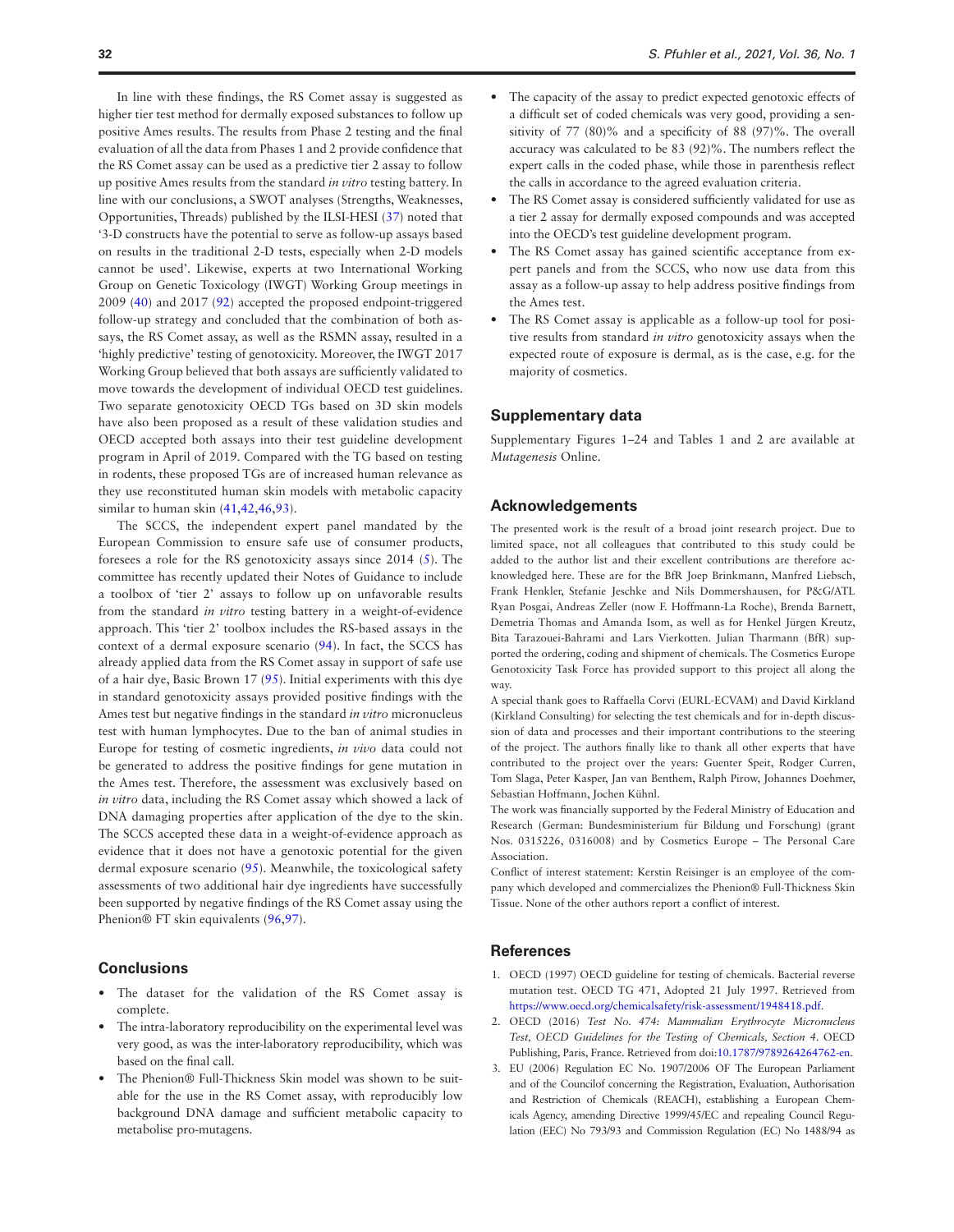In line with these findings, the RS Comet assay is suggested as higher tier test method for dermally exposed substances to follow up positive Ames results. The results from Phase 2 testing and the final evaluation of all the data from Phases 1 and 2 provide confidence that the RS Comet assay can be used as a predictive tier 2 assay to follow up positive Ames results from the standard *in vitro* testing battery. In line with our conclusions, a SWOT analyses (Strengths, Weaknesses, Opportunities, Threads) published by the ILSI-HESI ([37\)](#page-14-31) noted that '3-D constructs have the potential to serve as follow-up assays based on results in the traditional 2-D tests, especially when 2-D models cannot be used'. Likewise, experts at two International Working Group on Genetic Toxicology (IWGT) Working Group meetings in 2009 [\(40](#page-14-30)) and 2017 ([92\)](#page-16-12) accepted the proposed endpoint-triggered follow-up strategy and concluded that the combination of both assays, the RS Comet assay, as well as the RSMN assay, resulted in a 'highly predictive' testing of genotoxicity. Moreover, the IWGT 2017 Working Group believed that both assays are sufficiently validated to move towards the development of individual OECD test guidelines. Two separate genotoxicity OECD TGs based on 3D skin models have also been proposed as a result of these validation studies and OECD accepted both assays into their test guideline development program in April of 2019. Compared with the TG based on testing in rodents, these proposed TGs are of increased human relevance as they use reconstituted human skin models with metabolic capacity similar to human skin  $(41, 42, 46, 93)$  $(41, 42, 46, 93)$  $(41, 42, 46, 93)$  $(41, 42, 46, 93)$  $(41, 42, 46, 93)$  $(41, 42, 46, 93)$  $(41, 42, 46, 93)$  $(41, 42, 46, 93)$ .

The SCCS, the independent expert panel mandated by the European Commission to ensure safe use of consumer products, foresees a role for the RS genotoxicity assays since 2014 ([5](#page-14-0)). The committee has recently updated their Notes of Guidance to include a toolbox of 'tier 2' assays to follow up on unfavorable results from the standard *in vitro* testing battery in a weight-of-evidence approach. This 'tier 2' toolbox includes the RS-based assays in the context of a dermal exposure scenario ([94\)](#page-16-14). In fact, the SCCS has already applied data from the RS Comet assay in support of safe use of a hair dye, Basic Brown 17 [\(95](#page-16-15)). Initial experiments with this dye in standard genotoxicity assays provided positive findings with the Ames test but negative findings in the standard *in vitro* micronucleus test with human lymphocytes. Due to the ban of animal studies in Europe for testing of cosmetic ingredients, *in vivo* data could not be generated to address the positive findings for gene mutation in the Ames test. Therefore, the assessment was exclusively based on *in vitro* data, including the RS Comet assay which showed a lack of DNA damaging properties after application of the dye to the skin. The SCCS accepted these data in a weight-of-evidence approach as evidence that it does not have a genotoxic potential for the given dermal exposure scenario [\(95](#page-16-15)). Meanwhile, the toxicological safety assessments of two additional hair dye ingredients have successfully been supported by negative findings of the RS Comet assay using the Phenion® FT skin equivalents ([96,](#page-16-16)[97\)](#page-16-17).

#### **Conclusions**

- The dataset for the validation of the RS Comet assay is complete.
- The intra-laboratory reproducibility on the experimental level was very good, as was the inter-laboratory reproducibility, which was based on the final call.
- The Phenion® Full-Thickness Skin model was shown to be suitable for the use in the RS Comet assay, with reproducibly low background DNA damage and sufficient metabolic capacity to metabolise pro-mutagens.
- The capacity of the assay to predict expected genotoxic effects of a difficult set of coded chemicals was very good, providing a sensitivity of 77 (80)% and a specificity of 88 (97)%. The overall accuracy was calculated to be 83 (92)%. The numbers reflect the expert calls in the coded phase, while those in parenthesis reflect the calls in accordance to the agreed evaluation criteria.
- The RS Comet assay is considered sufficiently validated for use as a tier 2 assay for dermally exposed compounds and was accepted into the OECD's test guideline development program.
- The RS Comet assay has gained scientific acceptance from expert panels and from the SCCS, who now use data from this assay as a follow-up assay to help address positive findings from the Ames test.
- The RS Comet assay is applicable as a follow-up tool for positive results from standard *in vitro* genotoxicity assays when the expected route of exposure is dermal, as is the case, e.g. for the majority of cosmetics.

#### **Supplementary data**

Supplementary Figures 1–24 and Tables 1 and 2 are available at *Mutagenesis* Online.

#### **Acknowledgements**

The presented work is the result of a broad joint research project. Due to limited space, not all colleagues that contributed to this study could be added to the author list and their excellent contributions are therefore acknowledged here. These are for the BfR Joep Brinkmann, Manfred Liebsch, Frank Henkler, Stefanie Jeschke and Nils Dommershausen, for P&G/ATL Ryan Posgai, Andreas Zeller (now F. Hoffmann-La Roche), Brenda Barnett, Demetria Thomas and Amanda Isom, as well as for Henkel Jürgen Kreutz, Bita Tarazouei-Bahrami and Lars Vierkotten. Julian Tharmann (BfR) supported the ordering, coding and shipment of chemicals. The Cosmetics Europe Genotoxicity Task Force has provided support to this project all along the way.

A special thank goes to Raffaella Corvi (EURL-ECVAM) and David Kirkland (Kirkland Consulting) for selecting the test chemicals and for in-depth discussion of data and processes and their important contributions to the steering of the project. The authors finally like to thank all other experts that have contributed to the project over the years: Guenter Speit, Rodger Curren, Tom Slaga, Peter Kasper, Jan van Benthem, Ralph Pirow, Johannes Doehmer, Sebastian Hoffmann, Jochen Kühnl.

The work was financially supported by the Federal Ministry of Education and Research (German: Bundesministerium für Bildung und Forschung) (grant Nos. 0315226, 0316008) and by Cosmetics Europe – The Personal Care Association.

Conflict of interest statement: Kerstin Reisinger is an employee of the company which developed and commercializes the Phenion® Full-Thickness Skin Tissue. None of the other authors report a conflict of interest.

#### **References**

- <span id="page-13-0"></span>1. OECD (1997) OECD guideline for testing of chemicals. Bacterial reverse mutation test. OECD TG 471, Adopted 21 July 1997. Retrieved from <https://www.oecd.org/chemicalsafety/risk-assessment/1948418.pdf>.
- <span id="page-13-1"></span>2. OECD (2016) *Test No. 474: Mammalian Erythrocyte Micronucleus Test, OECD Guidelines for the Testing of Chemicals, Section 4*. OECD Publishing, Paris, France. Retrieved from doi[:10.1787/9789264264762-en.](https://doi.org/10.1787/9789264264762-en)
- <span id="page-13-2"></span>3. EU (2006) Regulation EC No. 1907/2006 OF The European Parliament and of the Councilof concerning the Registration, Evaluation, Authorisation and Restriction of Chemicals (REACH), establishing a European Chemicals Agency, amending Directive 1999/45/EC and repealing Council Regulation (EEC) No 793/93 and Commission Regulation (EC) No 1488/94 as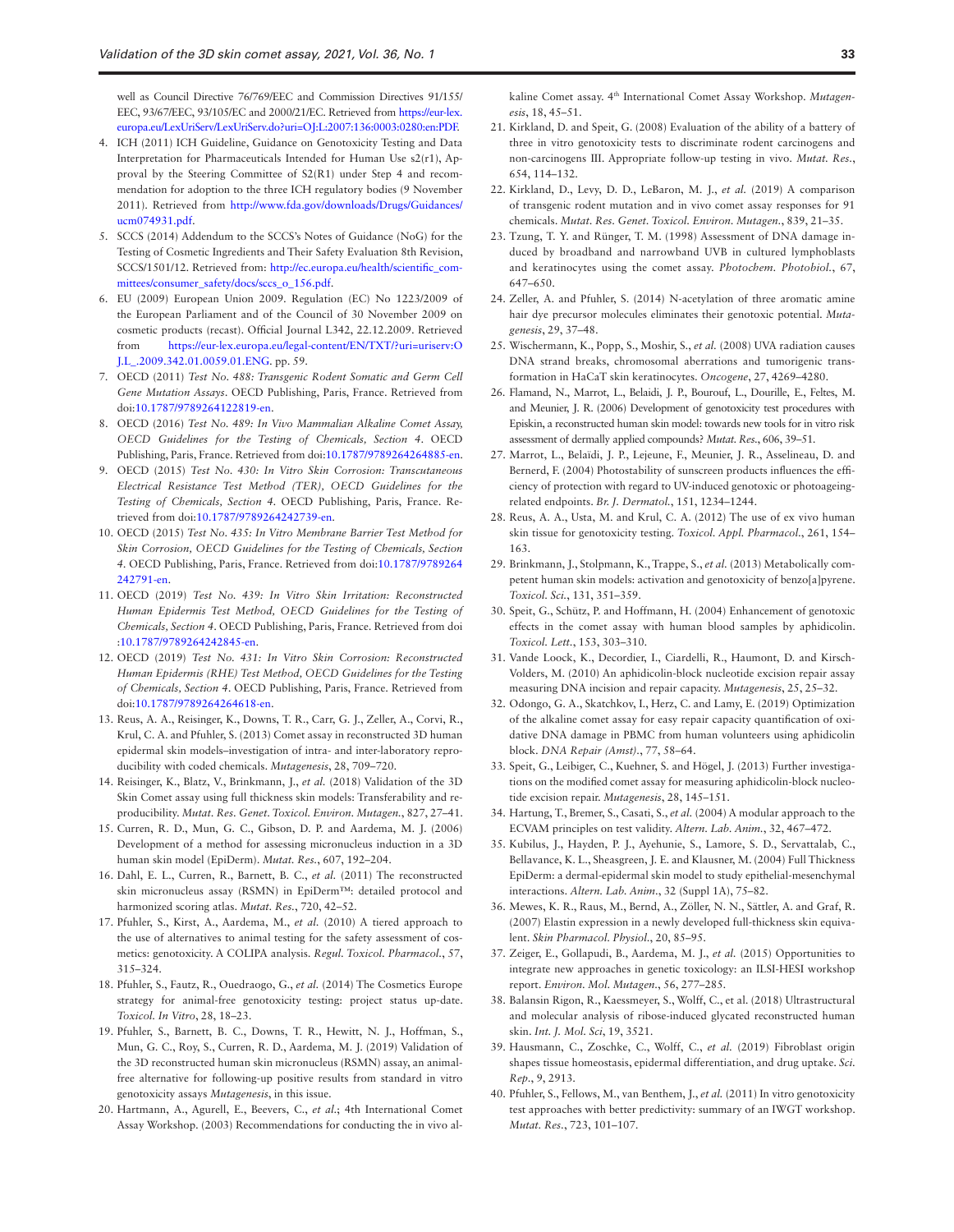well as Council Directive 76/769/EEC and Commission Directives 91/155/ EEC, 93/67/EEC, 93/105/EC and 2000/21/EC. Retrieved from [https://eur-lex.](https://eur-lex.europa.eu/LexUriServ/LexUriServ.do?uri=OJ:L:2007:136:0003:0280:en:PDF) [europa.eu/LexUriServ/LexUriServ.do?uri=OJ:L:2007:136:0003:0280:en:PDF](https://eur-lex.europa.eu/LexUriServ/LexUriServ.do?uri=OJ:L:2007:136:0003:0280:en:PDF).

- 4. ICH (2011) ICH Guideline, Guidance on Genotoxicity Testing and Data Interpretation for Pharmaceuticals Intended for Human Use s2(r1), Approval by the Steering Committee of S2(R1) under Step 4 and recommendation for adoption to the three ICH regulatory bodies (9 November 2011). Retrieved from [http://www.fda.gov/downloads/Drugs/Guidances/](http://www.fda.gov/downloads/Drugs/Guidances/ucm074931.pdf) [ucm074931.pdf](http://www.fda.gov/downloads/Drugs/Guidances/ucm074931.pdf).
- <span id="page-14-0"></span>5. SCCS (2014) Addendum to the SCCS's Notes of Guidance (NoG) for the Testing of Cosmetic Ingredients and Their Safety Evaluation 8th Revision, SCCS/1501/12. Retrieved from: [http://ec.europa.eu/health/scientific\\_com](http://ec.europa.eu/health/scientific_committees/consumer_safety/docs/sccs_o_156.pdf)[mittees/consumer\\_safety/docs/sccs\\_o\\_156.pdf](http://ec.europa.eu/health/scientific_committees/consumer_safety/docs/sccs_o_156.pdf).
- <span id="page-14-1"></span>6. EU (2009) European Union 2009. Regulation (EC) No 1223/2009 of the European Parliament and of the Council of 30 November 2009 on cosmetic products (recast). Official Journal L342, 22.12.2009. Retrieved from [https://eur-lex.europa.eu/legal-content/EN/TXT/?uri=uriserv:O](https://eur-lex.europa.eu/legal-content/EN/TXT/?uri=uriserv:OJ.L_.2009.342.01.0059.01.ENG) [J.L\\_.2009.342.01.0059.01.ENG](https://eur-lex.europa.eu/legal-content/EN/TXT/?uri=uriserv:OJ.L_.2009.342.01.0059.01.ENG). pp. 59.
- <span id="page-14-2"></span>7. OECD (2011) *Test No. 488: Transgenic Rodent Somatic and Germ Cell Gene Mutation Assays*. OECD Publishing, Paris, France. Retrieved from doi:[10.1787/9789264122819-en.](http://10.1787/9789264122819-en)
- <span id="page-14-3"></span>8. OECD (2016) *Test No. 489: In Vivo Mammalian Alkaline Comet Assay, OECD Guidelines for the Testing of Chemicals, Section 4*. OECD Publishing, Paris, France. Retrieved from doi[:10.1787/9789264264885-en](https://doi.org/10.1787/9789264264885-en).
- <span id="page-14-4"></span>9. OECD (2015) *Test No. 430: In Vitro Skin Corrosion: Transcutaneous Electrical Resistance Test Method (TER), OECD Guidelines for the Testing of Chemicals, Section 4*. OECD Publishing, Paris, France. Retrieved from doi[:10.1787/9789264242739-en](https://doi.org/10.1787/9789264242739-en).
- 10. OECD (2015) *Test No. 435: In Vitro Membrane Barrier Test Method for Skin Corrosion, OECD Guidelines for the Testing of Chemicals, Section 4*. OECD Publishing, Paris, France. Retrieved from doi:[10.1787/9789264](https://doi.org/10.1787/9789264242791-en) [242791-en.](https://doi.org/10.1787/9789264242791-en)
- 11. OECD (2019) *Test No. 439: In Vitro Skin Irritation: Reconstructed Human Epidermis Test Method, OECD Guidelines for the Testing of Chemicals, Section 4*. OECD Publishing, Paris, France. Retrieved from doi [:10.1787/9789264242845-en](https://doi.org/10.1787/9789264242845-en).
- <span id="page-14-5"></span>12. OECD (2019) *Test No. 431: In Vitro Skin Corrosion: Reconstructed Human Epidermis (RHE) Test Method, OECD Guidelines for the Testing of Chemicals, Section 4*. OECD Publishing, Paris, France. Retrieved from doi:[10.1787/9789264264618-en.](https://doi.org/10.1787/9789264264618-en)
- <span id="page-14-6"></span>13. Reus, A. A., Reisinger, K., Downs, T. R., Carr, G. J., Zeller, A., Corvi, R., Krul, C. A. and Pfuhler, S. (2013) Comet assay in reconstructed 3D human epidermal skin models–investigation of intra- and inter-laboratory reproducibility with coded chemicals. *Mutagenesis*, 28, 709–720.
- <span id="page-14-7"></span>14. Reisinger, K., Blatz, V., Brinkmann, J., *et al.* (2018) Validation of the 3D Skin Comet assay using full thickness skin models: Transferability and reproducibility. *Mutat. Res. Genet. Toxicol. Environ. Mutagen.*, 827, 27–41.
- <span id="page-14-8"></span>15. Curren, R. D., Mun, G. C., Gibson, D. P. and Aardema, M. J. (2006) Development of a method for assessing micronucleus induction in a 3D human skin model (EpiDerm). *Mutat. Res.*, 607, 192–204.
- <span id="page-14-9"></span>16. Dahl, E. L., Curren, R., Barnett, B. C., *et al.* (2011) The reconstructed skin micronucleus assay (RSMN) in EpiDerm™: detailed protocol and harmonized scoring atlas. *Mutat. Res.*, 720, 42–52.
- <span id="page-14-10"></span>17. Pfuhler, S., Kirst, A., Aardema, M., *et al.* (2010) A tiered approach to the use of alternatives to animal testing for the safety assessment of cosmetics: genotoxicity. A COLIPA analysis. *Regul. Toxicol. Pharmacol.*, 57, 315–324.
- <span id="page-14-11"></span>18. Pfuhler, S., Fautz, R., Ouedraogo, G., *et al.* (2014) The Cosmetics Europe strategy for animal-free genotoxicity testing: project status up-date. *Toxicol. In Vitro*, 28, 18–23.
- <span id="page-14-12"></span>19. Pfuhler, S., Barnett, B. C., Downs, T. R., Hewitt, N. J., Hoffman, S., Mun, G. C., Roy, S., Curren, R. D., Aardema, M. J. (2019) Validation of the 3D reconstructed human skin micronucleus (RSMN) assay, an animalfree alternative for following-up positive results from standard in vitro genotoxicity assays *Mutagenesis*, in this issue.
- <span id="page-14-13"></span>20. Hartmann, A., Agurell, E., Beevers, C., *et al.*; 4th International Comet Assay Workshop. (2003) Recommendations for conducting the in vivo al-
- <span id="page-14-14"></span>21. Kirkland, D. and Speit, G. (2008) Evaluation of the ability of a battery of three in vitro genotoxicity tests to discriminate rodent carcinogens and non-carcinogens III. Appropriate follow-up testing in vivo. *Mutat. Res.*, 654, 114–132.
- <span id="page-14-15"></span>22. Kirkland, D., Levy, D. D., LeBaron, M. J., *et al.* (2019) A comparison of transgenic rodent mutation and in vivo comet assay responses for 91 chemicals. *Mutat. Res. Genet. Toxicol. Environ. Mutagen.*, 839, 21–35.
- <span id="page-14-16"></span>23. Tzung, T. Y. and Rünger, T. M. (1998) Assessment of DNA damage induced by broadband and narrowband UVB in cultured lymphoblasts and keratinocytes using the comet assay. *Photochem. Photobiol.*, 67, 647–650.
- <span id="page-14-17"></span>24. Zeller, A. and Pfuhler, S. (2014) N-acetylation of three aromatic amine hair dye precursor molecules eliminates their genotoxic potential. *Mutagenesis*, 29, 37–48.
- <span id="page-14-18"></span>25. Wischermann, K., Popp, S., Moshir, S., *et al.* (2008) UVA radiation causes DNA strand breaks, chromosomal aberrations and tumorigenic transformation in HaCaT skin keratinocytes. *Oncogene*, 27, 4269–4280.
- <span id="page-14-19"></span>26. Flamand, N., Marrot, L., Belaidi, J. P., Bourouf, L., Dourille, E., Feltes, M. and Meunier, J. R. (2006) Development of genotoxicity test procedures with Episkin, a reconstructed human skin model: towards new tools for in vitro risk assessment of dermally applied compounds? *Mutat. Res.*, 606, 39–51.
- <span id="page-14-20"></span>27. Marrot, L., Belaïdi, J. P., Lejeune, F., Meunier, J. R., Asselineau, D. and Bernerd, F. (2004) Photostability of sunscreen products influences the efficiency of protection with regard to UV-induced genotoxic or photoageingrelated endpoints. *Br. J. Dermatol.*, 151, 1234–1244.
- <span id="page-14-21"></span>28. Reus, A. A., Usta, M. and Krul, C. A. (2012) The use of ex vivo human skin tissue for genotoxicity testing. *Toxicol. Appl. Pharmacol.*, 261, 154– 163.
- <span id="page-14-22"></span>29. Brinkmann, J., Stolpmann, K., Trappe, S., *et al.* (2013) Metabolically competent human skin models: activation and genotoxicity of benzo[a]pyrene. *Toxicol. Sci.*, 131, 351–359.
- <span id="page-14-23"></span>30. Speit, G., Schütz, P. and Hoffmann, H. (2004) Enhancement of genotoxic effects in the comet assay with human blood samples by aphidicolin. *Toxicol. Lett.*, 153, 303–310.
- <span id="page-14-24"></span>31. Vande Loock, K., Decordier, I., Ciardelli, R., Haumont, D. and Kirsch-Volders, M. (2010) An aphidicolin-block nucleotide excision repair assay measuring DNA incision and repair capacity. *Mutagenesis*, 25, 25–32.
- <span id="page-14-25"></span>32. Odongo, G. A., Skatchkov, I., Herz, C. and Lamy, E. (2019) Optimization of the alkaline comet assay for easy repair capacity quantification of oxidative DNA damage in PBMC from human volunteers using aphidicolin block. *DNA Repair (Amst).*, 77, 58–64.
- <span id="page-14-26"></span>33. Speit, G., Leibiger, C., Kuehner, S. and Högel, J. (2013) Further investigations on the modified comet assay for measuring aphidicolin-block nucleotide excision repair. *Mutagenesis*, 28, 145–151.
- <span id="page-14-27"></span>34. Hartung, T., Bremer, S., Casati, S., *et al.* (2004) A modular approach to the ECVAM principles on test validity. *Altern. Lab. Anim.*, 32, 467–472.
- <span id="page-14-28"></span>35. Kubilus, J., Hayden, P. J., Ayehunie, S., Lamore, S. D., Servattalab, C., Bellavance, K. L., Sheasgreen, J. E. and Klausner, M. (2004) Full Thickness EpiDerm: a dermal-epidermal skin model to study epithelial-mesenchymal interactions. *Altern. Lab. Anim.*, 32 (Suppl 1A), 75–82.
- 36. Mewes, K. R., Raus, M., Bernd, A., Zöller, N. N., Sättler, A. and Graf, R. (2007) Elastin expression in a newly developed full-thickness skin equivalent. *Skin Pharmacol. Physiol.*, 20, 85–95.
- <span id="page-14-31"></span>37. Zeiger, E., Gollapudi, B., Aardema, M. J., *et al.* (2015) Opportunities to integrate new approaches in genetic toxicology: an ILSI-HESI workshop report. *Environ. Mol. Mutagen.*, 56, 277–285.
- 38. Balansin Rigon, R., Kaessmeyer, S., Wolff, C., et al. (2018) Ultrastructural and molecular analysis of ribose-induced glycated reconstructed human skin. *Int. J. Mol. Sci*, 19, 3521.
- <span id="page-14-29"></span>39. Hausmann, C., Zoschke, C., Wolff, C., *et al.* (2019) Fibroblast origin shapes tissue homeostasis, epidermal differentiation, and drug uptake. *Sci. Rep.*, 9, 2913.
- <span id="page-14-30"></span>40. Pfuhler, S., Fellows, M., van Benthem, J., *et al.* (2011) In vitro genotoxicity test approaches with better predictivity: summary of an IWGT workshop. *Mutat. Res.*, 723, 101–107.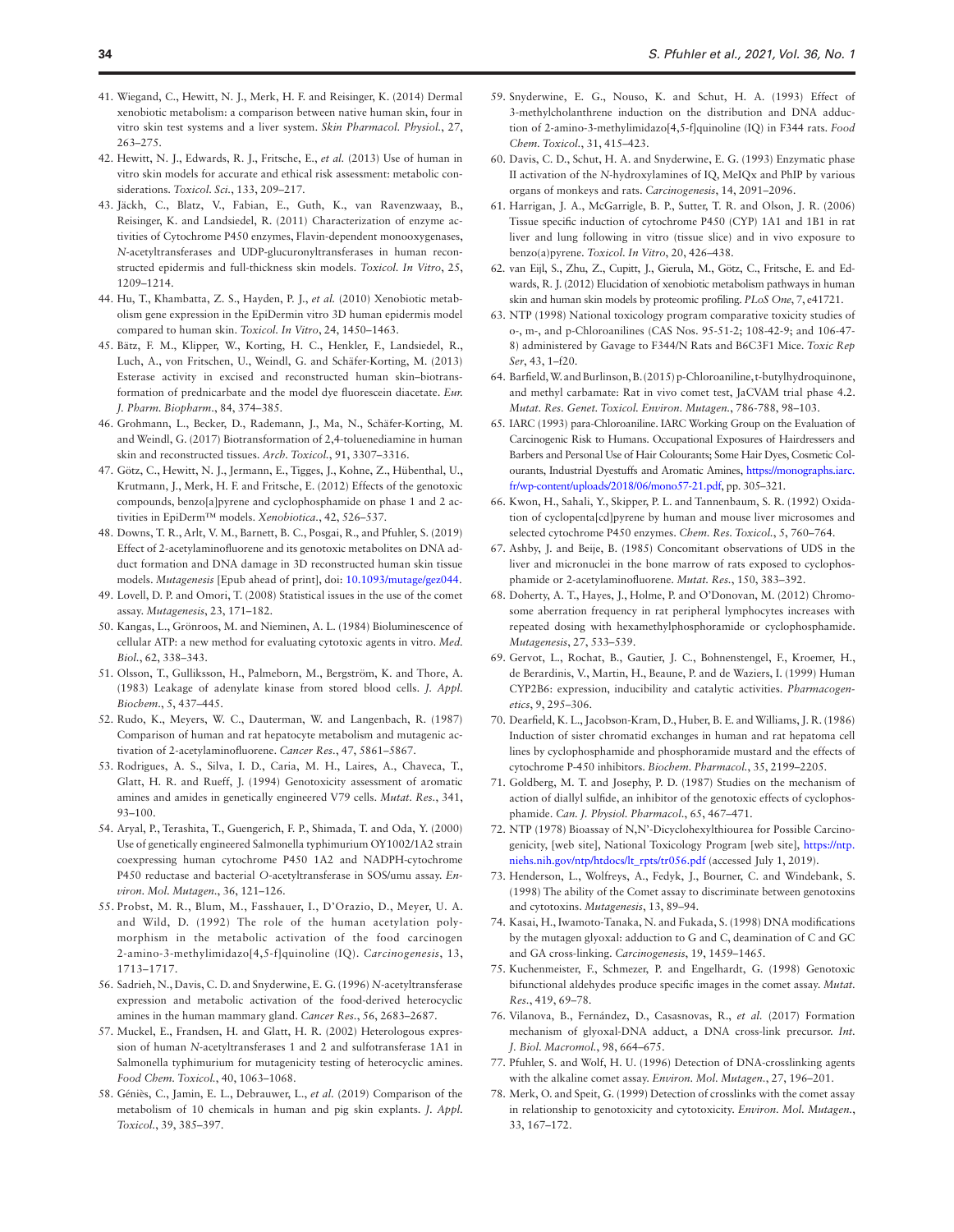- <span id="page-15-0"></span>41. Wiegand, C., Hewitt, N. J., Merk, H. F. and Reisinger, K. (2014) Dermal xenobiotic metabolism: a comparison between native human skin, four in vitro skin test systems and a liver system. *Skin Pharmacol. Physiol.*, 27, 263–275.
- <span id="page-15-25"></span>42. Hewitt, N. J., Edwards, R. J., Fritsche, E., *et al.* (2013) Use of human in vitro skin models for accurate and ethical risk assessment: metabolic considerations. *Toxicol. Sci.*, 133, 209–217.
- 43. Jäckh, C., Blatz, V., Fabian, E., Guth, K., van Ravenzwaay, B., Reisinger, K. and Landsiedel, R. (2011) Characterization of enzyme activities of Cytochrome P450 enzymes, Flavin-dependent monooxygenases, *N*-acetyltransferases and UDP-glucuronyltransferases in human reconstructed epidermis and full-thickness skin models. *Toxicol. In Vitro*, 25, 1209–1214.
- 44. Hu, T., Khambatta, Z. S., Hayden, P. J., *et al.* (2010) Xenobiotic metabolism gene expression in the EpiDermin vitro 3D human epidermis model compared to human skin. *Toxicol. In Vitro*, 24, 1450–1463.
- 45. Bätz, F. M., Klipper, W., Korting, H. C., Henkler, F., Landsiedel, R., Luch, A., von Fritschen, U., Weindl, G. and Schäfer-Korting, M. (2013) Esterase activity in excised and reconstructed human skin–biotransformation of prednicarbate and the model dye fluorescein diacetate. *Eur. J. Pharm. Biopharm.*, 84, 374–385.
- <span id="page-15-1"></span>46. Grohmann, L., Becker, D., Rademann, J., Ma, N., Schäfer-Korting, M. and Weindl, G. (2017) Biotransformation of 2,4-toluenediamine in human skin and reconstructed tissues. *Arch. Toxicol.*, 91, 3307–3316.
- <span id="page-15-2"></span>47. Götz, C., Hewitt, N. J., Jermann, E., Tigges, J., Kohne, Z., Hübenthal, U., Krutmann, J., Merk, H. F. and Fritsche, E. (2012) Effects of the genotoxic compounds, benzo[a]pyrene and cyclophosphamide on phase 1 and 2 activities in EpiDerm™ models. *Xenobiotica.*, 42, 526–537.
- <span id="page-15-3"></span>48. Downs, T. R., Arlt, V. M., Barnett, B. C., Posgai, R., and Pfuhler, S. (2019) Effect of 2-acetylaminofluorene and its genotoxic metabolites on DNA adduct formation and DNA damage in 3D reconstructed human skin tissue models. *Mutagenesis* [Epub ahead of print], doi: [10.1093/mutage/gez044.](https://doi.org/10.1093/mutage/gez044)
- <span id="page-15-4"></span>49. Lovell, D. P. and Omori, T. (2008) Statistical issues in the use of the comet assay. *Mutagenesis*, 23, 171–182.
- <span id="page-15-5"></span>50. Kangas, L., Grönroos, M. and Nieminen, A. L. (1984) Bioluminescence of cellular ATP: a new method for evaluating cytotoxic agents in vitro. *Med. Biol.*, 62, 338–343.
- <span id="page-15-6"></span>51. Olsson, T., Gulliksson, H., Palmeborn, M., Bergström, K. and Thore, A. (1983) Leakage of adenylate kinase from stored blood cells. *J. Appl. Biochem.*, 5, 437–445.
- <span id="page-15-7"></span>52. Rudo, K., Meyers, W. C., Dauterman, W. and Langenbach, R. (1987) Comparison of human and rat hepatocyte metabolism and mutagenic activation of 2-acetylaminofluorene. *Cancer Res.*, 47, 5861–5867.
- <span id="page-15-8"></span>53. Rodrigues, A. S., Silva, I. D., Caria, M. H., Laires, A., Chaveca, T., Glatt, H. R. and Rueff, J. (1994) Genotoxicity assessment of aromatic amines and amides in genetically engineered V79 cells. *Mutat. Res.*, 341, 93–100.
- <span id="page-15-9"></span>54. Aryal, P., Terashita, T., Guengerich, F. P., Shimada, T. and Oda, Y. (2000) Use of genetically engineered Salmonella typhimurium OY1002/1A2 strain coexpressing human cytochrome P450 1A2 and NADPH-cytochrome P450 reductase and bacterial *O*-acetyltransferase in SOS/umu assay. *Environ. Mol. Mutagen.*, 36, 121–126.
- <span id="page-15-10"></span>55. Probst, M. R., Blum, M., Fasshauer, I., D'Orazio, D., Meyer, U. A. and Wild, D. (1992) The role of the human acetylation polymorphism in the metabolic activation of the food carcinogen 2-amino-3-methylimidazo[4,5-f]quinoline (IQ). *Carcinogenesis*, 13, 1713–1717.
- <span id="page-15-11"></span>56. Sadrieh, N., Davis, C. D. and Snyderwine, E. G. (1996) *N*-acetyltransferase expression and metabolic activation of the food-derived heterocyclic amines in the human mammary gland. *Cancer Res.*, 56, 2683–2687.
- <span id="page-15-12"></span>57. Muckel, E., Frandsen, H. and Glatt, H. R. (2002) Heterologous expression of human *N*-acetyltransferases 1 and 2 and sulfotransferase 1A1 in Salmonella typhimurium for mutagenicity testing of heterocyclic amines. *Food Chem. Toxicol.*, 40, 1063–1068.
- <span id="page-15-13"></span>58. Géniès, C., Jamin, E. L., Debrauwer, L., *et al.* (2019) Comparison of the metabolism of 10 chemicals in human and pig skin explants. *J. Appl. Toxicol.*, 39, 385–397.
- <span id="page-15-14"></span>59. Snyderwine, E. G., Nouso, K. and Schut, H. A. (1993) Effect of 3-methylcholanthrene induction on the distribution and DNA adduction of 2-amino-3-methylimidazo[4,5-f]quinoline (IQ) in F344 rats. *Food Chem. Toxicol.*, 31, 415–423.
- <span id="page-15-15"></span>60. Davis, C. D., Schut, H. A. and Snyderwine, E. G. (1993) Enzymatic phase II activation of the *N*-hydroxylamines of IQ, MeIQx and PhIP by various organs of monkeys and rats. *Carcinogenesis*, 14, 2091–2096.
- <span id="page-15-16"></span>61. Harrigan, J. A., McGarrigle, B. P., Sutter, T. R. and Olson, J. R. (2006) Tissue specific induction of cytochrome P450 (CYP) 1A1 and 1B1 in rat liver and lung following in vitro (tissue slice) and in vivo exposure to benzo(a)pyrene. *Toxicol. In Vitro*, 20, 426–438.
- <span id="page-15-17"></span>62. van Eijl, S., Zhu, Z., Cupitt, J., Gierula, M., Götz, C., Fritsche, E. and Edwards, R. J. (2012) Elucidation of xenobiotic metabolism pathways in human skin and human skin models by proteomic profiling. *PLoS One*, 7, e41721.
- <span id="page-15-18"></span>63. NTP (1998) National toxicology program comparative toxicity studies of o-, m-, and p-Chloroanilines (CAS Nos. 95-51-2; 108-42-9; and 106-47- 8) administered by Gavage to F344/N Rats and B6C3F1 Mice. *Toxic Rep Ser*, 43, 1–f20.
- <span id="page-15-19"></span>64. Barfield, W. and Burlinson, B. (2015) p-Chloroaniline, t-butylhydroquinone, and methyl carbamate: Rat in vivo comet test, JaCVAM trial phase 4.2. *Mutat. Res. Genet. Toxicol. Environ. Mutagen.*, 786-788, 98–103.
- <span id="page-15-20"></span>65. IARC (1993) para-Chloroaniline. IARC Working Group on the Evaluation of Carcinogenic Risk to Humans. Occupational Exposures of Hairdressers and Barbers and Personal Use of Hair Colourants; Some Hair Dyes, Cosmetic Colourants, Industrial Dyestuffs and Aromatic Amines, [https://monographs.iarc.](https://monographs.iarc.fr/wp-content/uploads/2018/06/mono57-21.pdf) [fr/wp-content/uploads/2018/06/mono57-21.pdf](https://monographs.iarc.fr/wp-content/uploads/2018/06/mono57-21.pdf), pp. 305–321.
- <span id="page-15-21"></span>66. Kwon, H., Sahali, Y., Skipper, P. L. and Tannenbaum, S. R. (1992) Oxidation of cyclopenta[cd]pyrene by human and mouse liver microsomes and selected cytochrome P450 enzymes. *Chem. Res. Toxicol.*, 5, 760–764.
- <span id="page-15-22"></span>67. Ashby, J. and Beije, B. (1985) Concomitant observations of UDS in the liver and micronuclei in the bone marrow of rats exposed to cyclophosphamide or 2-acetylaminofluorene. *Mutat. Res.*, 150, 383–392.
- <span id="page-15-23"></span>68. Doherty, A. T., Hayes, J., Holme, P. and O'Donovan, M. (2012) Chromosome aberration frequency in rat peripheral lymphocytes increases with repeated dosing with hexamethylphosphoramide or cyclophosphamide. *Mutagenesis*, 27, 533–539.
- <span id="page-15-24"></span>69. Gervot, L., Rochat, B., Gautier, J. C., Bohnenstengel, F., Kroemer, H., de Berardinis, V., Martin, H., Beaune, P. and de Waziers, I. (1999) Human CYP2B6: expression, inducibility and catalytic activities. *Pharmacogenetics*, 9, 295–306.
- <span id="page-15-26"></span>70. Dearfield, K. L., Jacobson-Kram, D., Huber, B. E. and Williams, J. R. (1986) Induction of sister chromatid exchanges in human and rat hepatoma cell lines by cyclophosphamide and phosphoramide mustard and the effects of cytochrome P-450 inhibitors. *Biochem. Pharmacol.*, 35, 2199–2205.
- <span id="page-15-27"></span>71. Goldberg, M. T. and Josephy, P. D. (1987) Studies on the mechanism of action of diallyl sulfide, an inhibitor of the genotoxic effects of cyclophosphamide. *Can. J. Physiol. Pharmacol.*, 65, 467–471.
- <span id="page-15-28"></span>72. NTP (1978) Bioassay of N,N'-Dicyclohexylthiourea for Possible Carcinogenicity, [web site], National Toxicology Program [web site], [https://ntp.](https://ntp.niehs.nih.gov/ntp/htdocs/lt_rpts/tr056.pdf) [niehs.nih.gov/ntp/htdocs/lt\\_rpts/tr056.pdf](https://ntp.niehs.nih.gov/ntp/htdocs/lt_rpts/tr056.pdf) (accessed July 1, 2019).
- <span id="page-15-29"></span>73. Henderson, L., Wolfreys, A., Fedyk, J., Bourner, C. and Windebank, S. (1998) The ability of the Comet assay to discriminate between genotoxins and cytotoxins. *Mutagenesis*, 13, 89–94.
- <span id="page-15-30"></span>74. Kasai, H., Iwamoto-Tanaka, N. and Fukada, S. (1998) DNA modifications by the mutagen glyoxal: adduction to G and C, deamination of C and GC and GA cross-linking. *Carcinogenesis*, 19, 1459–1465.
- 75. Kuchenmeister, F., Schmezer, P. and Engelhardt, G. (1998) Genotoxic bifunctional aldehydes produce specific images in the comet assay. *Mutat. Res.*, 419, 69–78.
- <span id="page-15-31"></span>76. Vilanova, B., Fernández, D., Casasnovas, R., *et al.* (2017) Formation mechanism of glyoxal-DNA adduct, a DNA cross-link precursor. *Int. J. Biol. Macromol.*, 98, 664–675.
- <span id="page-15-32"></span>77. Pfuhler, S. and Wolf, H. U. (1996) Detection of DNA-crosslinking agents with the alkaline comet assay. *Environ. Mol. Mutagen.*, 27, 196–201.
- <span id="page-15-33"></span>78. Merk, O. and Speit, G. (1999) Detection of crosslinks with the comet assay in relationship to genotoxicity and cytotoxicity. *Environ. Mol. Mutagen.*, 33, 167–172.